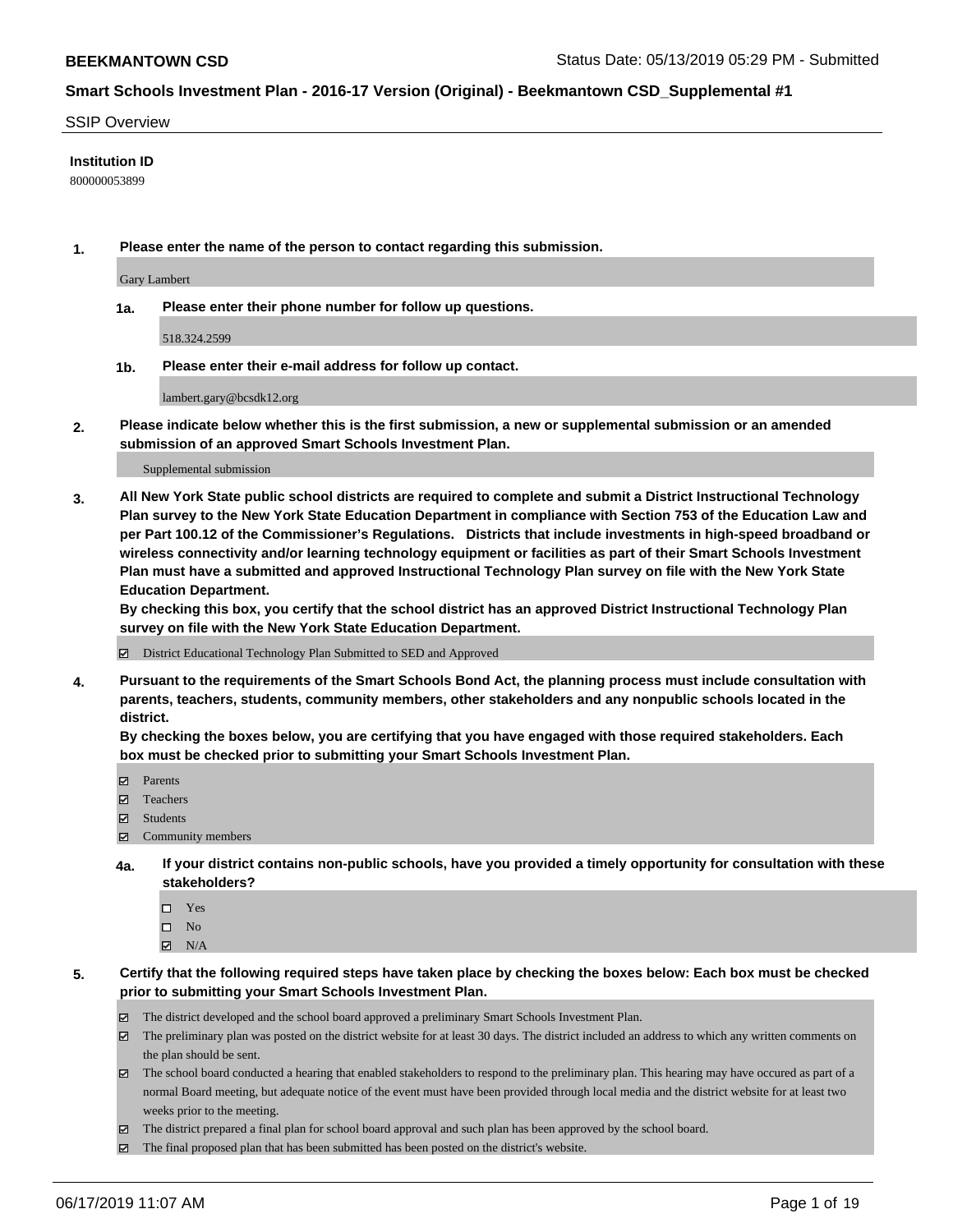#### SSIP Overview

#### **Institution ID**

800000053899

**1. Please enter the name of the person to contact regarding this submission.**

Gary Lambert

**1a. Please enter their phone number for follow up questions.**

518.324.2599

**1b. Please enter their e-mail address for follow up contact.**

lambert.gary@bcsdk12.org

**2. Please indicate below whether this is the first submission, a new or supplemental submission or an amended submission of an approved Smart Schools Investment Plan.**

#### Supplemental submission

**3. All New York State public school districts are required to complete and submit a District Instructional Technology Plan survey to the New York State Education Department in compliance with Section 753 of the Education Law and per Part 100.12 of the Commissioner's Regulations. Districts that include investments in high-speed broadband or wireless connectivity and/or learning technology equipment or facilities as part of their Smart Schools Investment Plan must have a submitted and approved Instructional Technology Plan survey on file with the New York State Education Department.** 

**By checking this box, you certify that the school district has an approved District Instructional Technology Plan survey on file with the New York State Education Department.**

District Educational Technology Plan Submitted to SED and Approved

**4. Pursuant to the requirements of the Smart Schools Bond Act, the planning process must include consultation with parents, teachers, students, community members, other stakeholders and any nonpublic schools located in the district.** 

**By checking the boxes below, you are certifying that you have engaged with those required stakeholders. Each box must be checked prior to submitting your Smart Schools Investment Plan.**

- Parents
- Teachers
- Students
- Community members
- **4a. If your district contains non-public schools, have you provided a timely opportunity for consultation with these stakeholders?**
	- □ Yes
	- $\square$  No
	- $N/A$
- **5. Certify that the following required steps have taken place by checking the boxes below: Each box must be checked prior to submitting your Smart Schools Investment Plan.**
	- The district developed and the school board approved a preliminary Smart Schools Investment Plan.
	- $\boxtimes$  The preliminary plan was posted on the district website for at least 30 days. The district included an address to which any written comments on the plan should be sent.
	- The school board conducted a hearing that enabled stakeholders to respond to the preliminary plan. This hearing may have occured as part of a normal Board meeting, but adequate notice of the event must have been provided through local media and the district website for at least two weeks prior to the meeting.
	- The district prepared a final plan for school board approval and such plan has been approved by the school board.
	- $\boxtimes$  The final proposed plan that has been submitted has been posted on the district's website.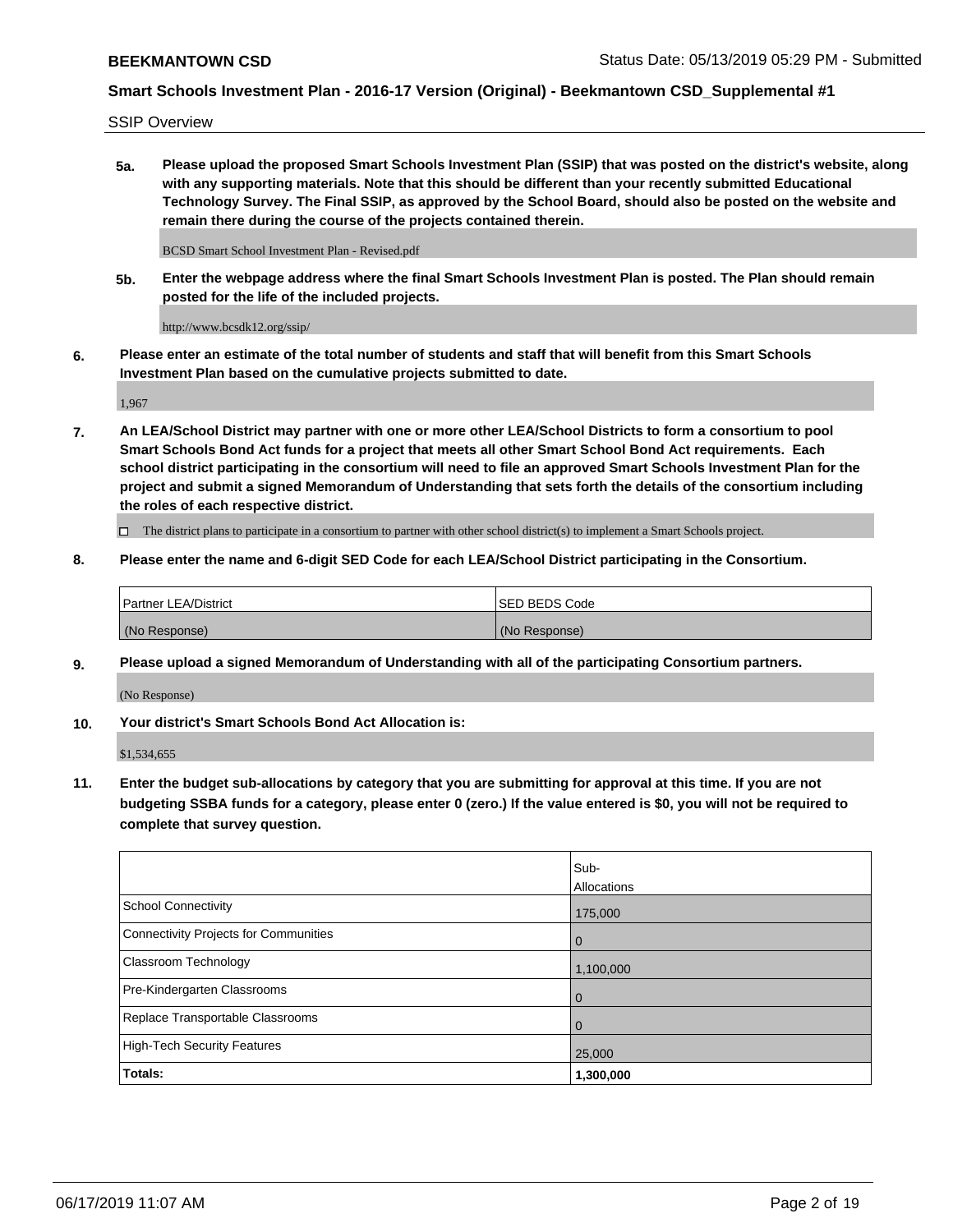SSIP Overview

**5a. Please upload the proposed Smart Schools Investment Plan (SSIP) that was posted on the district's website, along with any supporting materials. Note that this should be different than your recently submitted Educational Technology Survey. The Final SSIP, as approved by the School Board, should also be posted on the website and remain there during the course of the projects contained therein.**

BCSD Smart School Investment Plan - Revised.pdf

**5b. Enter the webpage address where the final Smart Schools Investment Plan is posted. The Plan should remain posted for the life of the included projects.**

http://www.bcsdk12.org/ssip/

**6. Please enter an estimate of the total number of students and staff that will benefit from this Smart Schools Investment Plan based on the cumulative projects submitted to date.**

1,967

**7. An LEA/School District may partner with one or more other LEA/School Districts to form a consortium to pool Smart Schools Bond Act funds for a project that meets all other Smart School Bond Act requirements. Each school district participating in the consortium will need to file an approved Smart Schools Investment Plan for the project and submit a signed Memorandum of Understanding that sets forth the details of the consortium including the roles of each respective district.**

 $\Box$  The district plans to participate in a consortium to partner with other school district(s) to implement a Smart Schools project.

### **8. Please enter the name and 6-digit SED Code for each LEA/School District participating in the Consortium.**

| <b>Partner LEA/District</b> | ISED BEDS Code |
|-----------------------------|----------------|
| (No Response)               | (No Response)  |

### **9. Please upload a signed Memorandum of Understanding with all of the participating Consortium partners.**

(No Response)

**10. Your district's Smart Schools Bond Act Allocation is:**

\$1,534,655

**11. Enter the budget sub-allocations by category that you are submitting for approval at this time. If you are not budgeting SSBA funds for a category, please enter 0 (zero.) If the value entered is \$0, you will not be required to complete that survey question.**

|                                       | Sub-<br>Allocations |
|---------------------------------------|---------------------|
| School Connectivity                   | 175,000             |
| Connectivity Projects for Communities | $\overline{0}$      |
| <b>Classroom Technology</b>           | 1,100,000           |
| Pre-Kindergarten Classrooms           | $\overline{0}$      |
| Replace Transportable Classrooms      | $\Omega$            |
| High-Tech Security Features           | 25,000              |
| Totals:                               | 1,300,000           |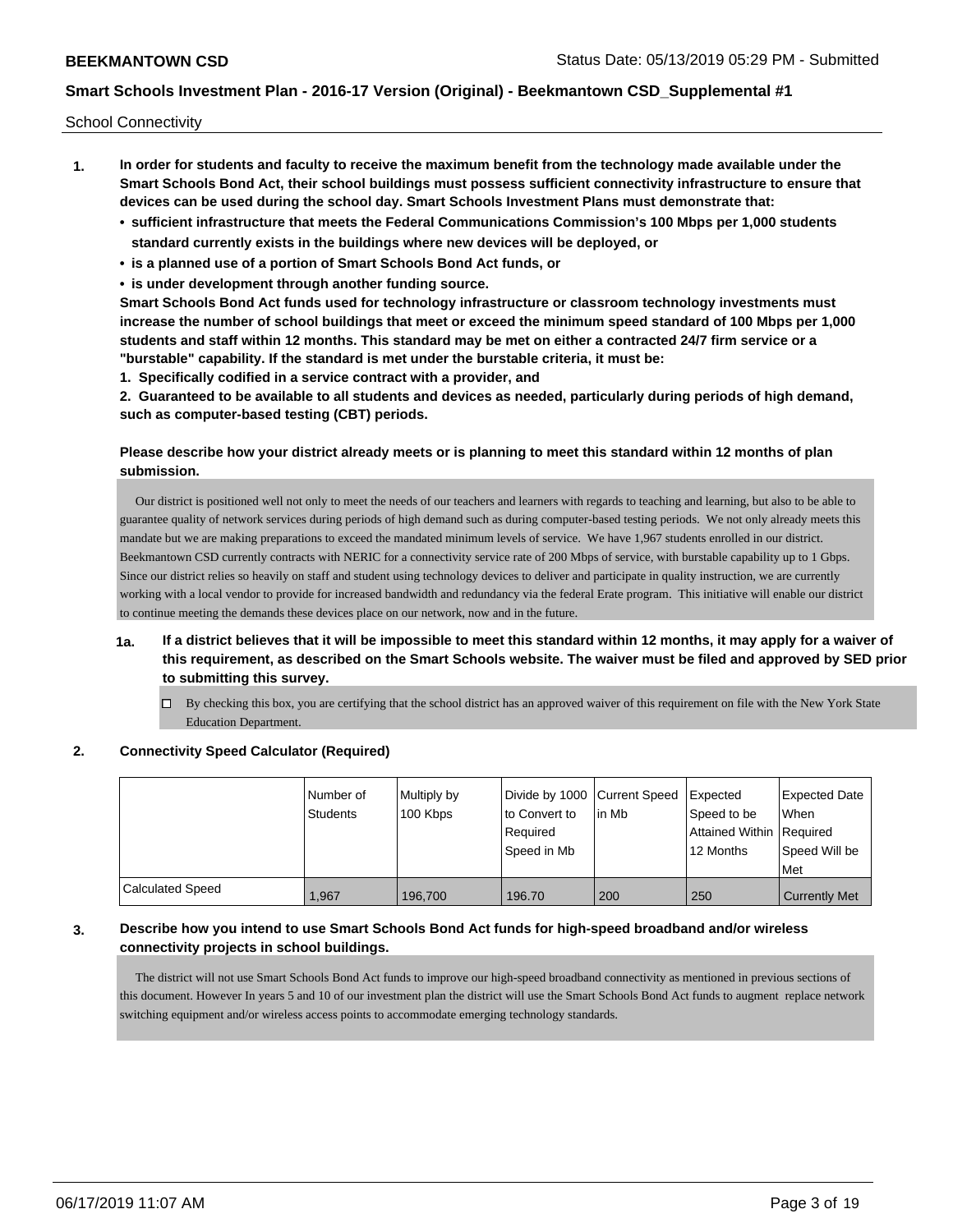School Connectivity

- **1. In order for students and faculty to receive the maximum benefit from the technology made available under the Smart Schools Bond Act, their school buildings must possess sufficient connectivity infrastructure to ensure that devices can be used during the school day. Smart Schools Investment Plans must demonstrate that:**
	- **• sufficient infrastructure that meets the Federal Communications Commission's 100 Mbps per 1,000 students standard currently exists in the buildings where new devices will be deployed, or**
	- **• is a planned use of a portion of Smart Schools Bond Act funds, or**
	- **• is under development through another funding source.**

**Smart Schools Bond Act funds used for technology infrastructure or classroom technology investments must increase the number of school buildings that meet or exceed the minimum speed standard of 100 Mbps per 1,000 students and staff within 12 months. This standard may be met on either a contracted 24/7 firm service or a "burstable" capability. If the standard is met under the burstable criteria, it must be:**

**1. Specifically codified in a service contract with a provider, and**

**2. Guaranteed to be available to all students and devices as needed, particularly during periods of high demand, such as computer-based testing (CBT) periods.**

## **Please describe how your district already meets or is planning to meet this standard within 12 months of plan submission.**

 Our district is positioned well not only to meet the needs of our teachers and learners with regards to teaching and learning, but also to be able to guarantee quality of network services during periods of high demand such as during computer-based testing periods. We not only already meets this mandate but we are making preparations to exceed the mandated minimum levels of service. We have 1,967 students enrolled in our district. Beekmantown CSD currently contracts with NERIC for a connectivity service rate of 200 Mbps of service, with burstable capability up to 1 Gbps. Since our district relies so heavily on staff and student using technology devices to deliver and participate in quality instruction, we are currently working with a local vendor to provide for increased bandwidth and redundancy via the federal Erate program. This initiative will enable our district to continue meeting the demands these devices place on our network, now and in the future.

## **1a. If a district believes that it will be impossible to meet this standard within 12 months, it may apply for a waiver of this requirement, as described on the Smart Schools website. The waiver must be filed and approved by SED prior to submitting this survey.**

 $\Box$  By checking this box, you are certifying that the school district has an approved waiver of this requirement on file with the New York State Education Department.

### **2. Connectivity Speed Calculator (Required)**

|                         | l Number of<br><b>Students</b> | Multiply by<br>100 Kbps | Divide by 1000 Current Speed<br>to Convert to<br>Required<br>Speed in Mb | lin Mb | Expected<br>Speed to be<br>Attained Within Required<br>12 Months | <b>Expected Date</b><br><b>When</b><br>Speed Will be<br>Met |
|-------------------------|--------------------------------|-------------------------|--------------------------------------------------------------------------|--------|------------------------------------------------------------------|-------------------------------------------------------------|
| <b>Calculated Speed</b> | 1.967                          | 196.700                 | 196.70                                                                   | 200    | 250                                                              | <b>Currently Met</b>                                        |

### **3. Describe how you intend to use Smart Schools Bond Act funds for high-speed broadband and/or wireless connectivity projects in school buildings.**

 The district will not use Smart Schools Bond Act funds to improve our high-speed broadband connectivity as mentioned in previous sections of this document. However In years 5 and 10 of our investment plan the district will use the Smart Schools Bond Act funds to augment replace network switching equipment and/or wireless access points to accommodate emerging technology standards.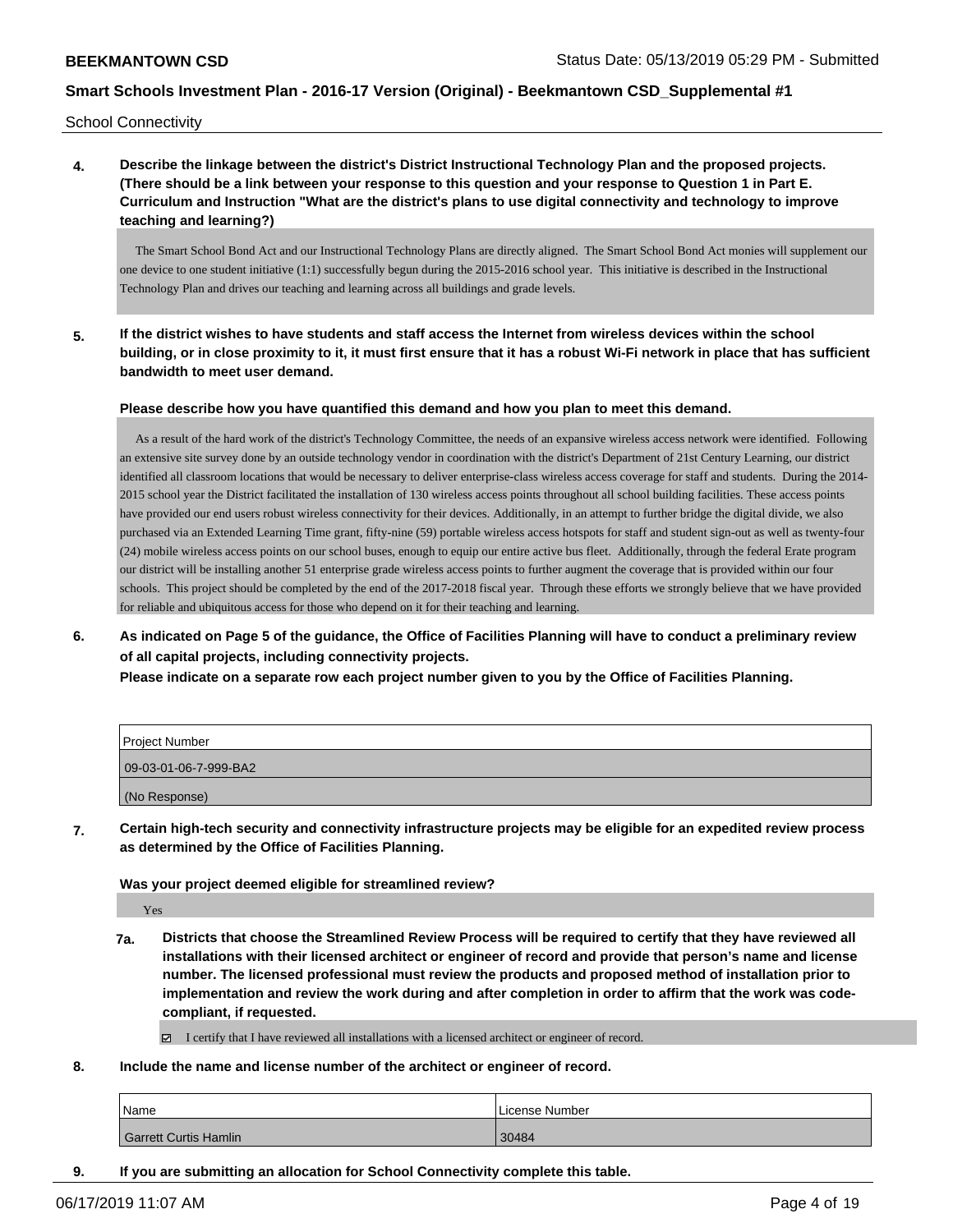School Connectivity

**4. Describe the linkage between the district's District Instructional Technology Plan and the proposed projects. (There should be a link between your response to this question and your response to Question 1 in Part E. Curriculum and Instruction "What are the district's plans to use digital connectivity and technology to improve teaching and learning?)**

 The Smart School Bond Act and our Instructional Technology Plans are directly aligned. The Smart School Bond Act monies will supplement our one device to one student initiative (1:1) successfully begun during the 2015-2016 school year. This initiative is described in the Instructional Technology Plan and drives our teaching and learning across all buildings and grade levels.

**5. If the district wishes to have students and staff access the Internet from wireless devices within the school building, or in close proximity to it, it must first ensure that it has a robust Wi-Fi network in place that has sufficient bandwidth to meet user demand.**

**Please describe how you have quantified this demand and how you plan to meet this demand.**

 As a result of the hard work of the district's Technology Committee, the needs of an expansive wireless access network were identified. Following an extensive site survey done by an outside technology vendor in coordination with the district's Department of 21st Century Learning, our district identified all classroom locations that would be necessary to deliver enterprise-class wireless access coverage for staff and students. During the 2014- 2015 school year the District facilitated the installation of 130 wireless access points throughout all school building facilities. These access points have provided our end users robust wireless connectivity for their devices. Additionally, in an attempt to further bridge the digital divide, we also purchased via an Extended Learning Time grant, fifty-nine (59) portable wireless access hotspots for staff and student sign-out as well as twenty-four (24) mobile wireless access points on our school buses, enough to equip our entire active bus fleet. Additionally, through the federal Erate program our district will be installing another 51 enterprise grade wireless access points to further augment the coverage that is provided within our four schools. This project should be completed by the end of the 2017-2018 fiscal year. Through these efforts we strongly believe that we have provided for reliable and ubiquitous access for those who depend on it for their teaching and learning.

## **6. As indicated on Page 5 of the guidance, the Office of Facilities Planning will have to conduct a preliminary review of all capital projects, including connectivity projects.**

**Please indicate on a separate row each project number given to you by the Office of Facilities Planning.**

| <b>Project Number</b> |  |
|-----------------------|--|
| 09-03-01-06-7-999-BA2 |  |
| (No Response)         |  |

**7. Certain high-tech security and connectivity infrastructure projects may be eligible for an expedited review process as determined by the Office of Facilities Planning.**

**Was your project deemed eligible for streamlined review?**

Yes

- **7a. Districts that choose the Streamlined Review Process will be required to certify that they have reviewed all installations with their licensed architect or engineer of record and provide that person's name and license number. The licensed professional must review the products and proposed method of installation prior to implementation and review the work during and after completion in order to affirm that the work was codecompliant, if requested.**
	- I certify that I have reviewed all installations with a licensed architect or engineer of record.
- **8. Include the name and license number of the architect or engineer of record.**

| Name                         | License Number |
|------------------------------|----------------|
| <b>Garrett Curtis Hamlin</b> | 30484          |

**9. If you are submitting an allocation for School Connectivity complete this table.**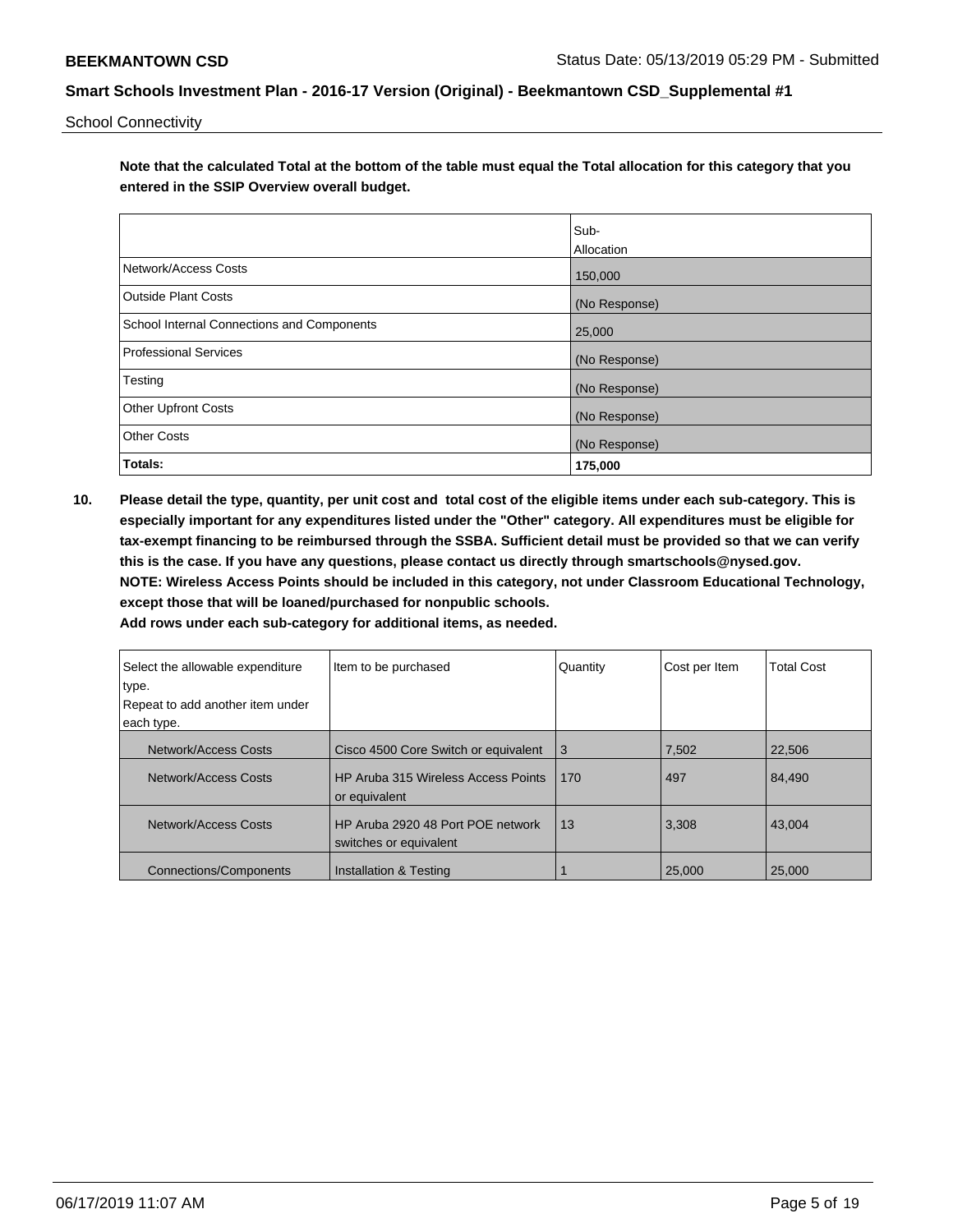School Connectivity

**Note that the calculated Total at the bottom of the table must equal the Total allocation for this category that you entered in the SSIP Overview overall budget.** 

|                                                   | Sub-          |
|---------------------------------------------------|---------------|
|                                                   | Allocation    |
| Network/Access Costs                              | 150,000       |
| Outside Plant Costs                               | (No Response) |
| <b>School Internal Connections and Components</b> | 25,000        |
| <b>Professional Services</b>                      | (No Response) |
| Testing                                           | (No Response) |
| <b>Other Upfront Costs</b>                        | (No Response) |
| <b>Other Costs</b>                                | (No Response) |
| Totals:                                           | 175,000       |

**10. Please detail the type, quantity, per unit cost and total cost of the eligible items under each sub-category. This is especially important for any expenditures listed under the "Other" category. All expenditures must be eligible for tax-exempt financing to be reimbursed through the SSBA. Sufficient detail must be provided so that we can verify this is the case. If you have any questions, please contact us directly through smartschools@nysed.gov. NOTE: Wireless Access Points should be included in this category, not under Classroom Educational Technology, except those that will be loaned/purchased for nonpublic schools.**

| Select the allowable expenditure<br>type. | Item to be purchased                                        | Quantity | Cost per Item | <b>Total Cost</b> |
|-------------------------------------------|-------------------------------------------------------------|----------|---------------|-------------------|
| Repeat to add another item under          |                                                             |          |               |                   |
| each type.                                |                                                             |          |               |                   |
| Network/Access Costs                      | Cisco 4500 Core Switch or equivalent                        | 3        | 7,502         | 22,506            |
| Network/Access Costs                      | HP Aruba 315 Wireless Access Points<br>or equivalent        | 170      | 497           | 84,490            |
| Network/Access Costs                      | HP Aruba 2920 48 Port POE network<br>switches or equivalent | 13       | 3,308         | 43.004            |
| Connections/Components                    | Installation & Testing                                      |          | 25,000        | 25,000            |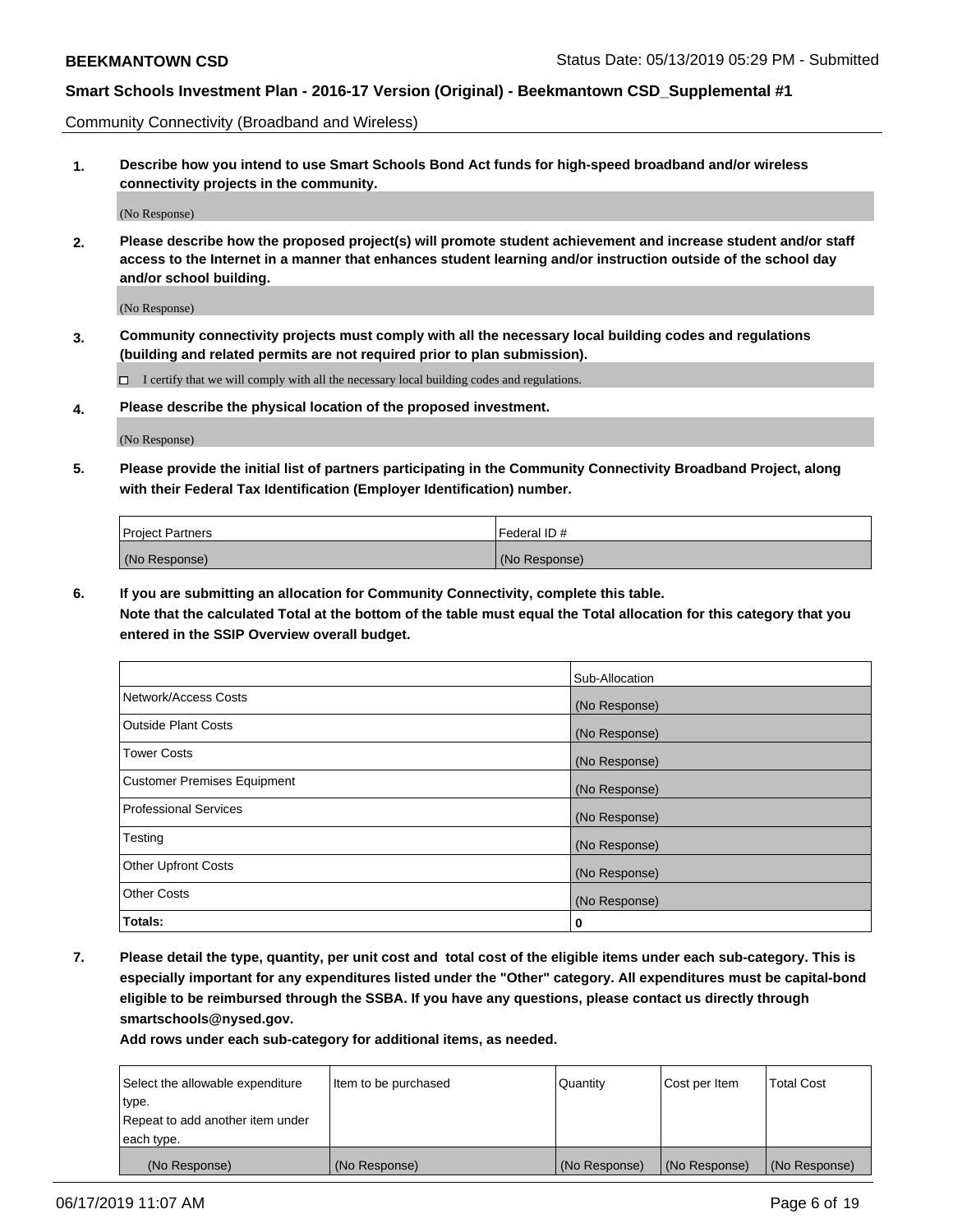Community Connectivity (Broadband and Wireless)

**1. Describe how you intend to use Smart Schools Bond Act funds for high-speed broadband and/or wireless connectivity projects in the community.**

(No Response)

**2. Please describe how the proposed project(s) will promote student achievement and increase student and/or staff access to the Internet in a manner that enhances student learning and/or instruction outside of the school day and/or school building.**

(No Response)

**3. Community connectivity projects must comply with all the necessary local building codes and regulations (building and related permits are not required prior to plan submission).**

 $\Box$  I certify that we will comply with all the necessary local building codes and regulations.

**4. Please describe the physical location of the proposed investment.**

(No Response)

**5. Please provide the initial list of partners participating in the Community Connectivity Broadband Project, along with their Federal Tax Identification (Employer Identification) number.**

| <b>Project Partners</b> | l Federal ID # |
|-------------------------|----------------|
| (No Response)           | (No Response)  |

**6. If you are submitting an allocation for Community Connectivity, complete this table.**

**Note that the calculated Total at the bottom of the table must equal the Total allocation for this category that you entered in the SSIP Overview overall budget.**

|                                    | Sub-Allocation |
|------------------------------------|----------------|
| Network/Access Costs               | (No Response)  |
| <b>Outside Plant Costs</b>         | (No Response)  |
| <b>Tower Costs</b>                 | (No Response)  |
| <b>Customer Premises Equipment</b> | (No Response)  |
| <b>Professional Services</b>       | (No Response)  |
| Testing                            | (No Response)  |
| <b>Other Upfront Costs</b>         | (No Response)  |
| <b>Other Costs</b>                 | (No Response)  |
| Totals:                            | 0              |

**7. Please detail the type, quantity, per unit cost and total cost of the eligible items under each sub-category. This is especially important for any expenditures listed under the "Other" category. All expenditures must be capital-bond eligible to be reimbursed through the SSBA. If you have any questions, please contact us directly through smartschools@nysed.gov.**

| Select the allowable expenditure<br>type.      | Item to be purchased | Quantity      | Cost per Item | <b>Total Cost</b> |
|------------------------------------------------|----------------------|---------------|---------------|-------------------|
| Repeat to add another item under<br>each type. |                      |               |               |                   |
| (No Response)                                  | (No Response)        | (No Response) | (No Response) | (No Response)     |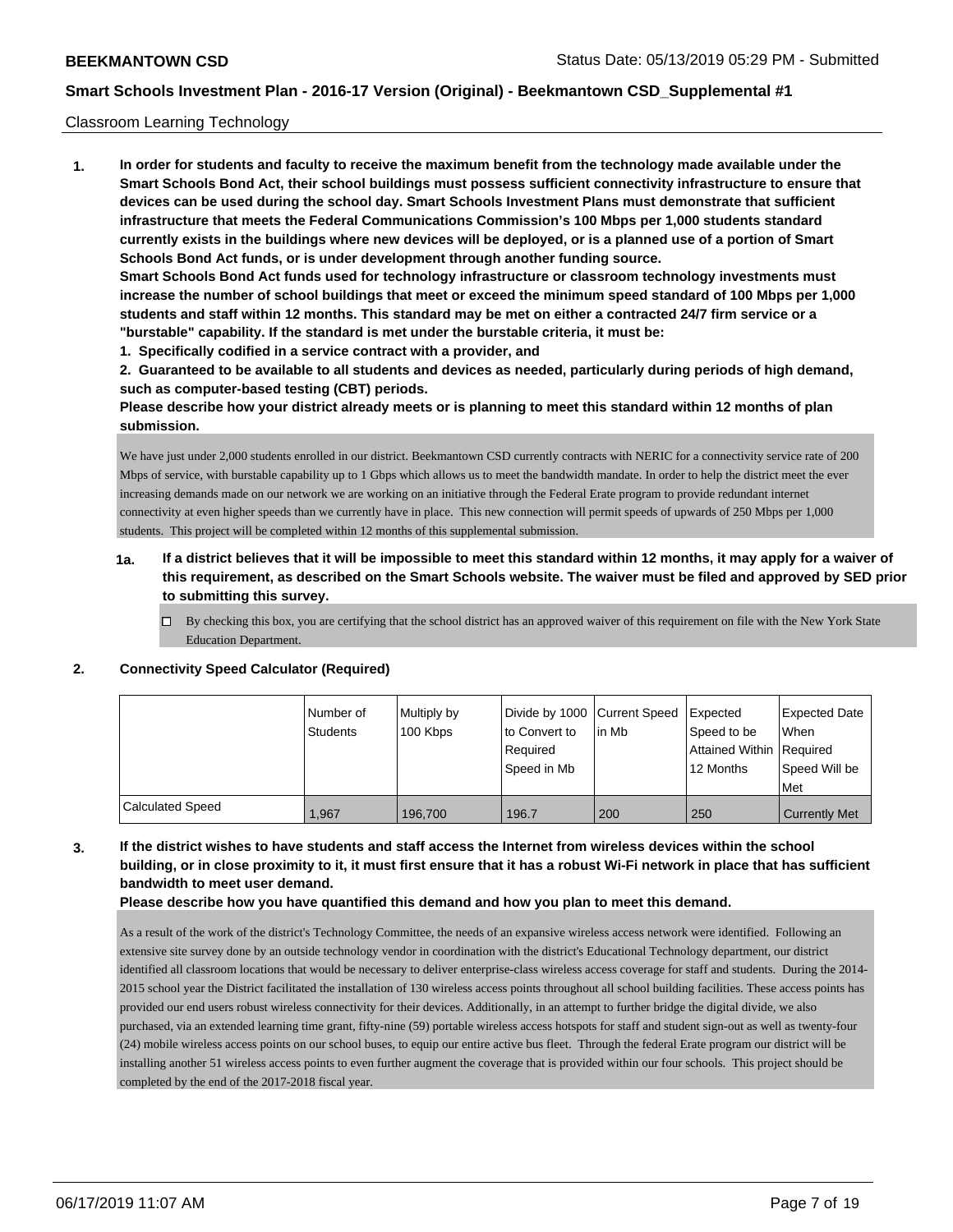#### Classroom Learning Technology

**1. In order for students and faculty to receive the maximum benefit from the technology made available under the Smart Schools Bond Act, their school buildings must possess sufficient connectivity infrastructure to ensure that devices can be used during the school day. Smart Schools Investment Plans must demonstrate that sufficient infrastructure that meets the Federal Communications Commission's 100 Mbps per 1,000 students standard currently exists in the buildings where new devices will be deployed, or is a planned use of a portion of Smart Schools Bond Act funds, or is under development through another funding source. Smart Schools Bond Act funds used for technology infrastructure or classroom technology investments must increase the number of school buildings that meet or exceed the minimum speed standard of 100 Mbps per 1,000 students and staff within 12 months. This standard may be met on either a contracted 24/7 firm service or a "burstable" capability. If the standard is met under the burstable criteria, it must be:**

**1. Specifically codified in a service contract with a provider, and**

**2. Guaranteed to be available to all students and devices as needed, particularly during periods of high demand, such as computer-based testing (CBT) periods.**

**Please describe how your district already meets or is planning to meet this standard within 12 months of plan submission.**

We have just under 2,000 students enrolled in our district. Beekmantown CSD currently contracts with NERIC for a connectivity service rate of 200 Mbps of service, with burstable capability up to 1 Gbps which allows us to meet the bandwidth mandate. In order to help the district meet the ever increasing demands made on our network we are working on an initiative through the Federal Erate program to provide redundant internet connectivity at even higher speeds than we currently have in place. This new connection will permit speeds of upwards of 250 Mbps per 1,000 students. This project will be completed within 12 months of this supplemental submission.

- **1a. If a district believes that it will be impossible to meet this standard within 12 months, it may apply for a waiver of this requirement, as described on the Smart Schools website. The waiver must be filed and approved by SED prior to submitting this survey.**
	- By checking this box, you are certifying that the school district has an approved waiver of this requirement on file with the New York State Education Department.

|                         | I Number of | Multiply by | Divide by 1000 Current Speed |        | <b>Expected</b>            | Expected Date        |
|-------------------------|-------------|-------------|------------------------------|--------|----------------------------|----------------------|
|                         | Students    | 100 Kbps    | to Convert to                | lin Mb | Speed to be                | When                 |
|                         |             |             | Required                     |        | Attained Within   Required |                      |
|                         |             |             | l Speed in Mb                |        | 12 Months                  | Speed Will be        |
|                         |             |             |                              |        |                            | Met                  |
| <b>Calculated Speed</b> | ,967        | 196,700     | 196.7                        | 200    | 250                        | <b>Currently Met</b> |

#### **2. Connectivity Speed Calculator (Required)**

**3. If the district wishes to have students and staff access the Internet from wireless devices within the school building, or in close proximity to it, it must first ensure that it has a robust Wi-Fi network in place that has sufficient bandwidth to meet user demand.**

**Please describe how you have quantified this demand and how you plan to meet this demand.**

As a result of the work of the district's Technology Committee, the needs of an expansive wireless access network were identified. Following an extensive site survey done by an outside technology vendor in coordination with the district's Educational Technology department, our district identified all classroom locations that would be necessary to deliver enterprise-class wireless access coverage for staff and students. During the 2014- 2015 school year the District facilitated the installation of 130 wireless access points throughout all school building facilities. These access points has provided our end users robust wireless connectivity for their devices. Additionally, in an attempt to further bridge the digital divide, we also purchased, via an extended learning time grant, fifty-nine (59) portable wireless access hotspots for staff and student sign-out as well as twenty-four (24) mobile wireless access points on our school buses, to equip our entire active bus fleet. Through the federal Erate program our district will be installing another 51 wireless access points to even further augment the coverage that is provided within our four schools. This project should be completed by the end of the 2017-2018 fiscal year.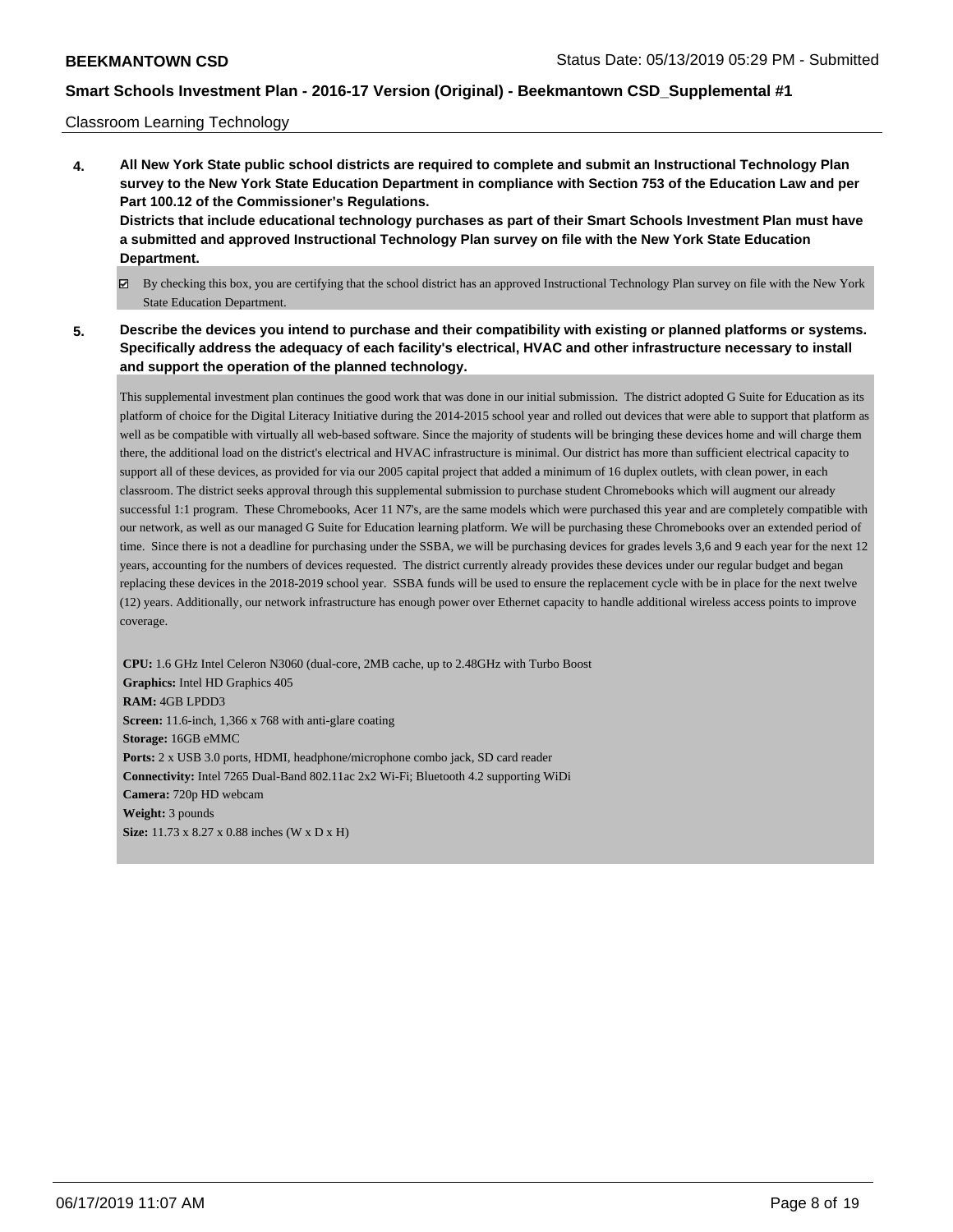#### Classroom Learning Technology

- **4. All New York State public school districts are required to complete and submit an Instructional Technology Plan survey to the New York State Education Department in compliance with Section 753 of the Education Law and per Part 100.12 of the Commissioner's Regulations. Districts that include educational technology purchases as part of their Smart Schools Investment Plan must have a submitted and approved Instructional Technology Plan survey on file with the New York State Education Department.**
	- By checking this box, you are certifying that the school district has an approved Instructional Technology Plan survey on file with the New York State Education Department.
- **5. Describe the devices you intend to purchase and their compatibility with existing or planned platforms or systems. Specifically address the adequacy of each facility's electrical, HVAC and other infrastructure necessary to install and support the operation of the planned technology.**

This supplemental investment plan continues the good work that was done in our initial submission. The district adopted G Suite for Education as its platform of choice for the Digital Literacy Initiative during the 2014-2015 school year and rolled out devices that were able to support that platform as well as be compatible with virtually all web-based software. Since the majority of students will be bringing these devices home and will charge them there, the additional load on the district's electrical and HVAC infrastructure is minimal. Our district has more than sufficient electrical capacity to support all of these devices, as provided for via our 2005 capital project that added a minimum of 16 duplex outlets, with clean power, in each classroom. The district seeks approval through this supplemental submission to purchase student Chromebooks which will augment our already successful 1:1 program. These Chromebooks, Acer 11 N7's, are the same models which were purchased this year and are completely compatible with our network, as well as our managed G Suite for Education learning platform. We will be purchasing these Chromebooks over an extended period of time. Since there is not a deadline for purchasing under the SSBA, we will be purchasing devices for grades levels 3,6 and 9 each year for the next 12 years, accounting for the numbers of devices requested. The district currently already provides these devices under our regular budget and began replacing these devices in the 2018-2019 school year. SSBA funds will be used to ensure the replacement cycle with be in place for the next twelve (12) years. Additionally, our network infrastructure has enough power over Ethernet capacity to handle additional wireless access points to improve coverage.

**CPU:** 1.6 GHz Intel Celeron N3060 (dual-core, 2MB cache, up to 2.48GHz with Turbo Boost **Graphics:** Intel HD Graphics 405 **RAM:** 4GB LPDD3 **Screen:** 11.6-inch, 1,366 x 768 with anti-glare coating **Storage:** 16GB eMMC **Ports:** 2 x USB 3.0 ports, HDMI, headphone/microphone combo jack, SD card reader **Connectivity:** Intel 7265 Dual-Band 802.11ac 2x2 Wi-Fi; Bluetooth 4.2 supporting WiDi **Camera:** 720p HD webcam **Weight:** 3 pounds **Size:** 11.73 x 8.27 x 0.88 inches (W x D x H)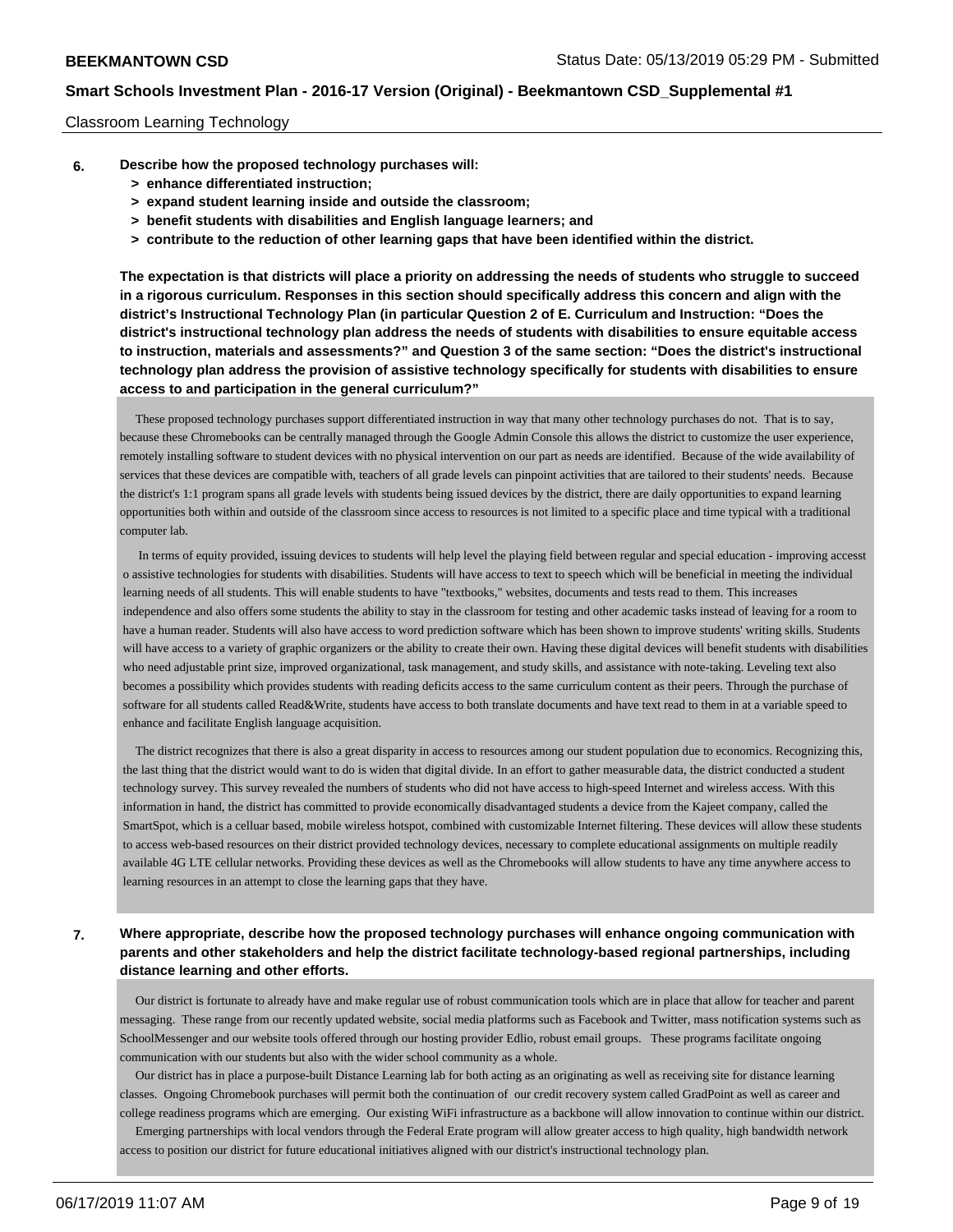#### Classroom Learning Technology

- **6. Describe how the proposed technology purchases will:**
	- **> enhance differentiated instruction;**
	- **> expand student learning inside and outside the classroom;**
	- **> benefit students with disabilities and English language learners; and**
	- **> contribute to the reduction of other learning gaps that have been identified within the district.**

**The expectation is that districts will place a priority on addressing the needs of students who struggle to succeed in a rigorous curriculum. Responses in this section should specifically address this concern and align with the district's Instructional Technology Plan (in particular Question 2 of E. Curriculum and Instruction: "Does the district's instructional technology plan address the needs of students with disabilities to ensure equitable access to instruction, materials and assessments?" and Question 3 of the same section: "Does the district's instructional technology plan address the provision of assistive technology specifically for students with disabilities to ensure access to and participation in the general curriculum?"**

 These proposed technology purchases support differentiated instruction in way that many other technology purchases do not. That is to say, because these Chromebooks can be centrally managed through the Google Admin Console this allows the district to customize the user experience, remotely installing software to student devices with no physical intervention on our part as needs are identified. Because of the wide availability of services that these devices are compatible with, teachers of all grade levels can pinpoint activities that are tailored to their students' needs. Because the district's 1:1 program spans all grade levels with students being issued devices by the district, there are daily opportunities to expand learning opportunities both within and outside of the classroom since access to resources is not limited to a specific place and time typical with a traditional computer lab.

 In terms of equity provided, issuing devices to students will help level the playing field between regular and special education - improving accesst o assistive technologies for students with disabilities. Students will have access to text to speech which will be beneficial in meeting the individual learning needs of all students. This will enable students to have "textbooks," websites, documents and tests read to them. This increases independence and also offers some students the ability to stay in the classroom for testing and other academic tasks instead of leaving for a room to have a human reader. Students will also have access to word prediction software which has been shown to improve students' writing skills. Students will have access to a variety of graphic organizers or the ability to create their own. Having these digital devices will benefit students with disabilities who need adjustable print size, improved organizational, task management, and study skills, and assistance with note-taking. Leveling text also becomes a possibility which provides students with reading deficits access to the same curriculum content as their peers. Through the purchase of software for all students called Read&Write, students have access to both translate documents and have text read to them in at a variable speed to enhance and facilitate English language acquisition.

 The district recognizes that there is also a great disparity in access to resources among our student population due to economics. Recognizing this, the last thing that the district would want to do is widen that digital divide. In an effort to gather measurable data, the district conducted a student technology survey. This survey revealed the numbers of students who did not have access to high-speed Internet and wireless access. With this information in hand, the district has committed to provide economically disadvantaged students a device from the Kajeet company, called the SmartSpot, which is a celluar based, mobile wireless hotspot, combined with customizable Internet filtering. These devices will allow these students to access web-based resources on their district provided technology devices, necessary to complete educational assignments on multiple readily available 4G LTE cellular networks. Providing these devices as well as the Chromebooks will allow students to have any time anywhere access to learning resources in an attempt to close the learning gaps that they have.

## **7. Where appropriate, describe how the proposed technology purchases will enhance ongoing communication with parents and other stakeholders and help the district facilitate technology-based regional partnerships, including distance learning and other efforts.**

 Our district is fortunate to already have and make regular use of robust communication tools which are in place that allow for teacher and parent messaging. These range from our recently updated website, social media platforms such as Facebook and Twitter, mass notification systems such as SchoolMessenger and our website tools offered through our hosting provider Edlio, robust email groups. These programs facilitate ongoing communication with our students but also with the wider school community as a whole.

 Our district has in place a purpose-built Distance Learning lab for both acting as an originating as well as receiving site for distance learning classes. Ongoing Chromebook purchases will permit both the continuation of our credit recovery system called GradPoint as well as career and college readiness programs which are emerging. Our existing WiFi infrastructure as a backbone will allow innovation to continue within our district.

 Emerging partnerships with local vendors through the Federal Erate program will allow greater access to high quality, high bandwidth network access to position our district for future educational initiatives aligned with our district's instructional technology plan.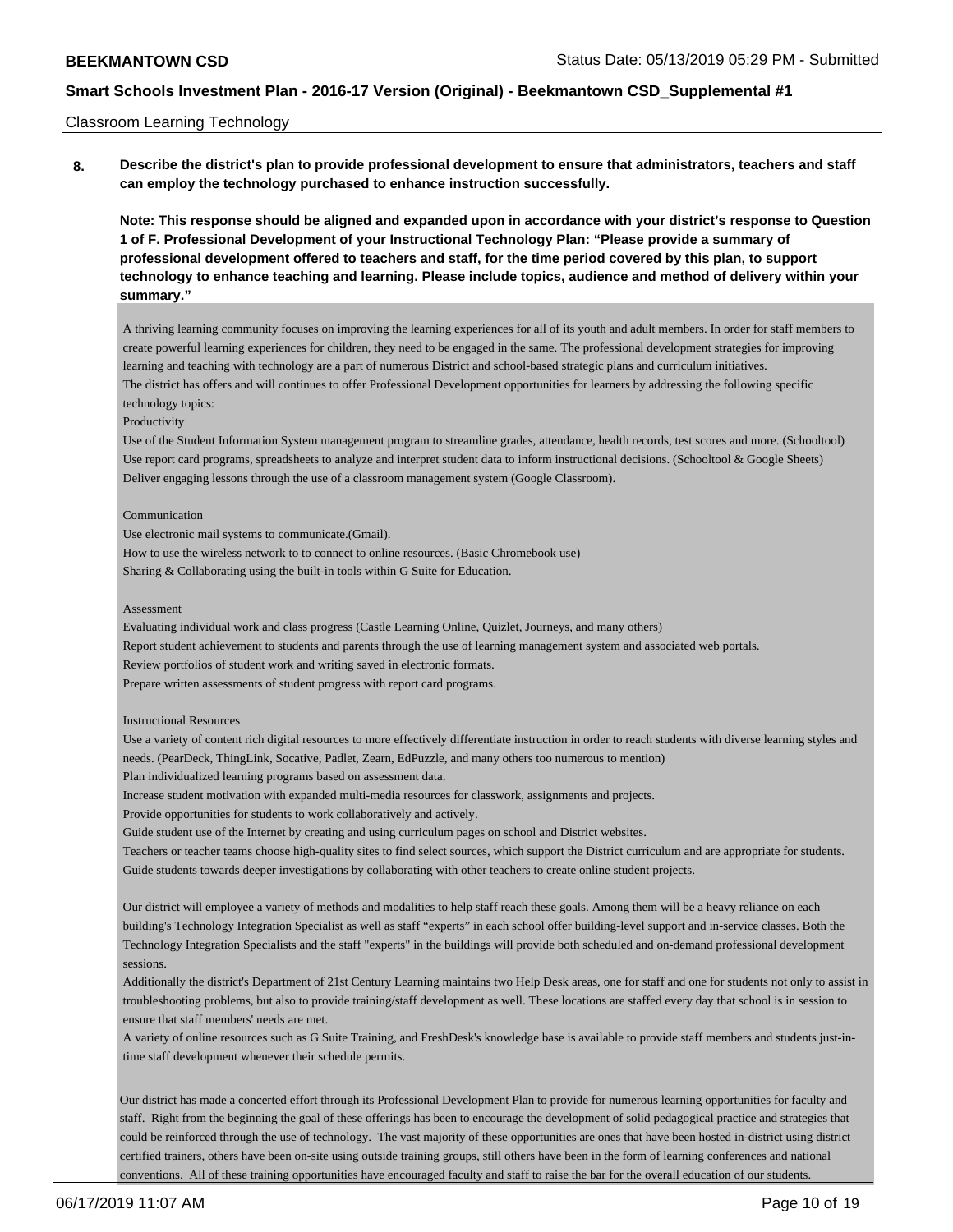#### Classroom Learning Technology

**8. Describe the district's plan to provide professional development to ensure that administrators, teachers and staff can employ the technology purchased to enhance instruction successfully.**

**Note: This response should be aligned and expanded upon in accordance with your district's response to Question 1 of F. Professional Development of your Instructional Technology Plan: "Please provide a summary of professional development offered to teachers and staff, for the time period covered by this plan, to support technology to enhance teaching and learning. Please include topics, audience and method of delivery within your summary."**

A thriving learning community focuses on improving the learning experiences for all of its youth and adult members. In order for staff members to create powerful learning experiences for children, they need to be engaged in the same. The professional development strategies for improving learning and teaching with technology are a part of numerous District and school-based strategic plans and curriculum initiatives. The district has offers and will continues to offer Professional Development opportunities for learners by addressing the following specific technology topics:

#### Productivity

Use of the Student Information System management program to streamline grades, attendance, health records, test scores and more. (Schooltool) Use report card programs, spreadsheets to analyze and interpret student data to inform instructional decisions. (Schooltool & Google Sheets) Deliver engaging lessons through the use of a classroom management system (Google Classroom).

#### Communication

Use electronic mail systems to communicate.(Gmail).

How to use the wireless network to to connect to online resources. (Basic Chromebook use)

Sharing & Collaborating using the built-in tools within G Suite for Education.

#### Assessment

Evaluating individual work and class progress (Castle Learning Online, Quizlet, Journeys, and many others)

Report student achievement to students and parents through the use of learning management system and associated web portals.

Review portfolios of student work and writing saved in electronic formats.

Prepare written assessments of student progress with report card programs.

#### Instructional Resources

Use a variety of content rich digital resources to more effectively differentiate instruction in order to reach students with diverse learning styles and needs. (PearDeck, ThingLink, Socative, Padlet, Zearn, EdPuzzle, and many others too numerous to mention)

Plan individualized learning programs based on assessment data.

Increase student motivation with expanded multi-media resources for classwork, assignments and projects.

Provide opportunities for students to work collaboratively and actively.

Guide student use of the Internet by creating and using curriculum pages on school and District websites.

Teachers or teacher teams choose high-quality sites to find select sources, which support the District curriculum and are appropriate for students. Guide students towards deeper investigations by collaborating with other teachers to create online student projects.

Our district will employee a variety of methods and modalities to help staff reach these goals. Among them will be a heavy reliance on each building's Technology Integration Specialist as well as staff "experts" in each school offer building-level support and in-service classes. Both the Technology Integration Specialists and the staff "experts" in the buildings will provide both scheduled and on-demand professional development sessions.

Additionally the district's Department of 21st Century Learning maintains two Help Desk areas, one for staff and one for students not only to assist in troubleshooting problems, but also to provide training/staff development as well. These locations are staffed every day that school is in session to ensure that staff members' needs are met.

A variety of online resources such as G Suite Training, and FreshDesk's knowledge base is available to provide staff members and students just-intime staff development whenever their schedule permits.

Our district has made a concerted effort through its Professional Development Plan to provide for numerous learning opportunities for faculty and staff. Right from the beginning the goal of these offerings has been to encourage the development of solid pedagogical practice and strategies that could be reinforced through the use of technology. The vast majority of these opportunities are ones that have been hosted in-district using district certified trainers, others have been on-site using outside training groups, still others have been in the form of learning conferences and national conventions. All of these training opportunities have encouraged faculty and staff to raise the bar for the overall education of our students.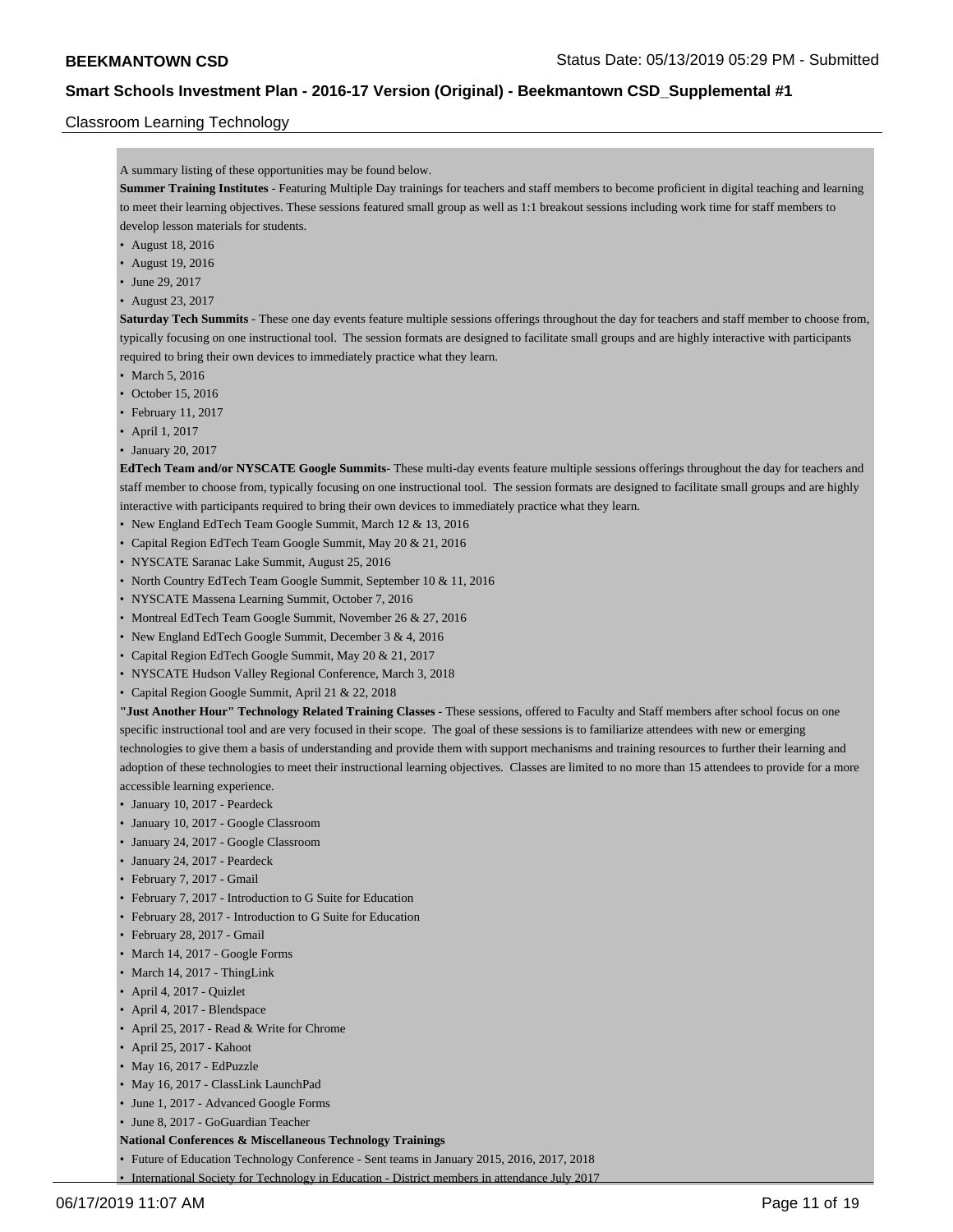# Classroom Learning Technology

| Summer Training Institutes - Featuring Multiple Day trainings for teachers and staff members to become proficient in digital teaching and learning       |
|----------------------------------------------------------------------------------------------------------------------------------------------------------|
| to meet their learning objectives. These sessions featured small group as well as 1:1 breakout sessions including work time for staff members to         |
|                                                                                                                                                          |
|                                                                                                                                                          |
|                                                                                                                                                          |
|                                                                                                                                                          |
|                                                                                                                                                          |
| <b>Saturday Tech Summits</b> - These one day events feature multiple sessions offerings throughout the day for teachers and staff member to choose from, |
| typically focusing on one instructional tool. The session formats are designed to facilitate small groups and are highly interactive with participants   |
|                                                                                                                                                          |
|                                                                                                                                                          |
|                                                                                                                                                          |
|                                                                                                                                                          |
|                                                                                                                                                          |
|                                                                                                                                                          |
| <b>EdTech Team and/or NYSCATE Google Summits</b> -These multi-day events feature multiple sessions offerings throughout the day for teachers and         |
| staff member to choose from, typically focusing on one instructional tool. The session formats are designed to facilitate small groups and are highly    |
|                                                                                                                                                          |
|                                                                                                                                                          |
|                                                                                                                                                          |
|                                                                                                                                                          |
|                                                                                                                                                          |
|                                                                                                                                                          |
|                                                                                                                                                          |
|                                                                                                                                                          |
|                                                                                                                                                          |
|                                                                                                                                                          |
|                                                                                                                                                          |
|                                                                                                                                                          |
| "Just Another Hour" Technology Related Training Classes - These sessions, offered to Faculty and Staff members after school focus on one                 |
| specific instructional tool and are very focused in their scope. The goal of these sessions is to familiarize attendees with new or emerging             |
| technologies to give them a basis of understanding and provide them with support mechanisms and training resources to further their learning and         |
| adoption of these technologies to meet their instructional learning objectives. Classes are limited to no more than 15 attendees to provide for a more   |
|                                                                                                                                                          |
|                                                                                                                                                          |
|                                                                                                                                                          |
|                                                                                                                                                          |
|                                                                                                                                                          |
|                                                                                                                                                          |
|                                                                                                                                                          |
|                                                                                                                                                          |
|                                                                                                                                                          |
|                                                                                                                                                          |
|                                                                                                                                                          |
|                                                                                                                                                          |
|                                                                                                                                                          |
|                                                                                                                                                          |
|                                                                                                                                                          |
|                                                                                                                                                          |
|                                                                                                                                                          |
|                                                                                                                                                          |
|                                                                                                                                                          |
|                                                                                                                                                          |

• Future of Education Technology Conference - Sent teams in January 2015, 2016, 2017, 2018 • International Society for Technology in Education - District members in attendance July 2017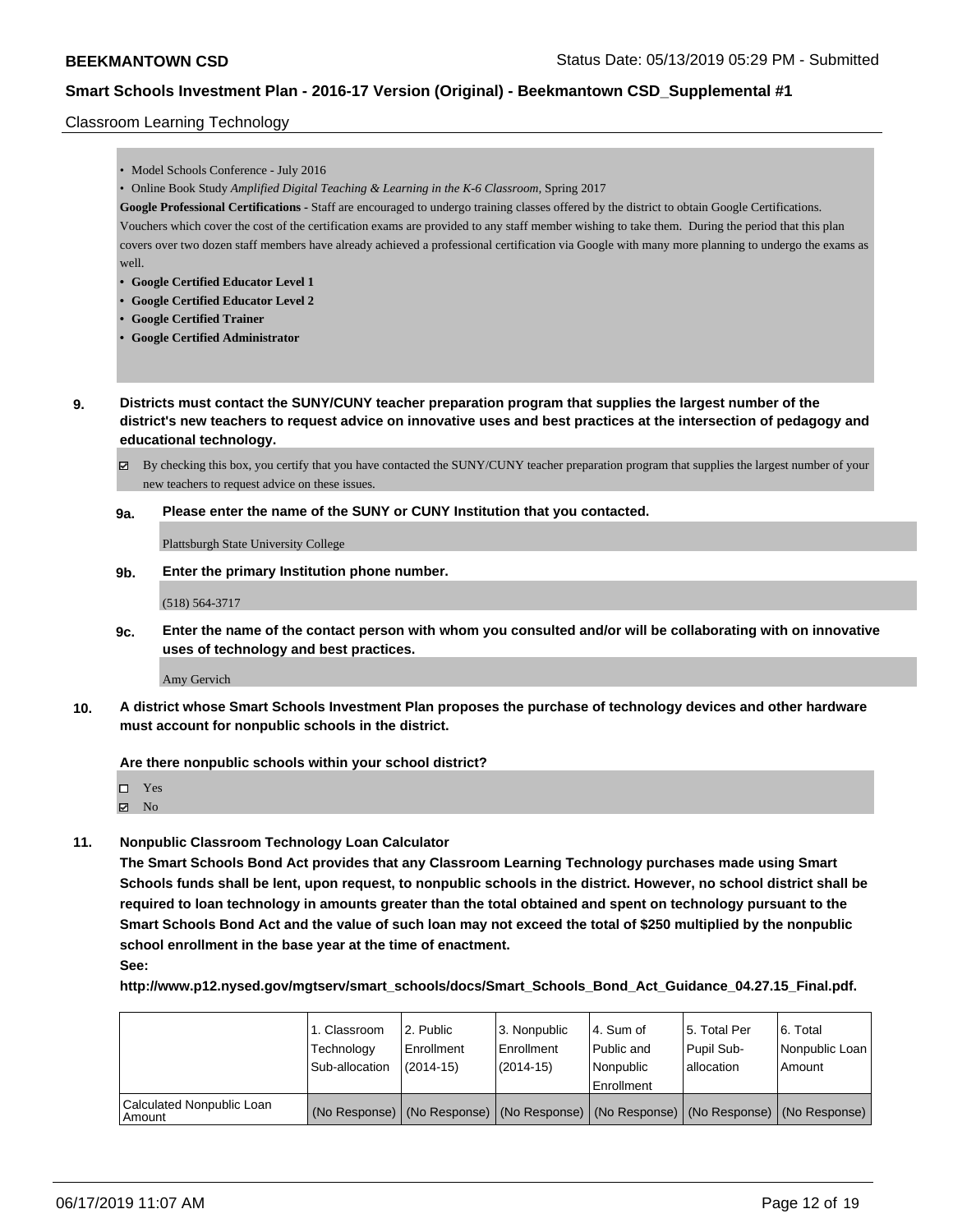### Classroom Learning Technology

|              | • Model Schools Conference - July 2016                                                                                                                                                                                                                                               |
|--------------|--------------------------------------------------------------------------------------------------------------------------------------------------------------------------------------------------------------------------------------------------------------------------------------|
|              |                                                                                                                                                                                                                                                                                      |
|              | • Online Book Study Amplified Digital Teaching & Learning in the K-6 Classroom, Spring 2017                                                                                                                                                                                          |
|              | Google Professional Certifications - Staff are encouraged to undergo training classes offered by the district to obtain Google Certifications.                                                                                                                                       |
|              | Vouchers which cover the cost of the certification exams are provided to any staff member wishing to take them. During the period that this plan                                                                                                                                     |
|              | covers over two dozen staff members have already achieved a professional certification via Google with many more planning to undergo the exams as                                                                                                                                    |
| well.        |                                                                                                                                                                                                                                                                                      |
|              | • Google Certified Educator Level 1                                                                                                                                                                                                                                                  |
|              | <b>Google Certified Educator Level 2</b>                                                                                                                                                                                                                                             |
|              | <b>Google Certified Trainer</b><br>• Google Certified Administrator                                                                                                                                                                                                                  |
|              |                                                                                                                                                                                                                                                                                      |
|              | Districts must contact the SUNY/CUNY teacher preparation program that supplies the largest number of the<br>district's new teachers to request advice on innovative uses and best practices at the intersection of pedagogy and<br>educational technology.                           |
| ☑            | By checking this box, you certify that you have contacted the SUNY/CUNY teacher preparation program that supplies the largest number of your                                                                                                                                         |
|              | new teachers to request advice on these issues.                                                                                                                                                                                                                                      |
| 9a.          | Please enter the name of the SUNY or CUNY Institution that you contacted.                                                                                                                                                                                                            |
|              | <b>Plattsburgh State University College</b>                                                                                                                                                                                                                                          |
| 9 <b>b</b> . | Enter the primary Institution phone number.                                                                                                                                                                                                                                          |
|              | $(518) 564 - 3717$                                                                                                                                                                                                                                                                   |
| 9c.          | uses of technology and best practices.                                                                                                                                                                                                                                               |
|              | Amy Gervich                                                                                                                                                                                                                                                                          |
|              | Enter the name of the contact person with whom you consulted and/or will be collaborating with on innovative<br>A district whose Smart Schools Investment Plan proposes the purchase of technology devices and other hardware<br>must account for nonpublic schools in the district. |
|              | Are there nonpublic schools within your school district?                                                                                                                                                                                                                             |

 $\hfill \square$  Yes  $\boxtimes$  No

**11. Nonpublic Classroom Technology Loan Calculator**

**The Smart Schools Bond Act provides that any Classroom Learning Technology purchases made using Smart Schools funds shall be lent, upon request, to nonpublic schools in the district. However, no school district shall be required to loan technology in amounts greater than the total obtained and spent on technology pursuant to the Smart Schools Bond Act and the value of such loan may not exceed the total of \$250 multiplied by the nonpublic school enrollment in the base year at the time of enactment. See:**

**http://www.p12.nysed.gov/mgtserv/smart\_schools/docs/Smart\_Schools\_Bond\_Act\_Guidance\_04.27.15\_Final.pdf.**

|                                       | 1. Classroom<br>Technology<br>Sub-allocation | l 2. Public<br>l Enrollment<br>(2014-15) | l 3. Nonpublic<br>Enrollment<br>(2014-15) | l 4. Sum of<br>Public and<br>Nonpublic<br>Enrollment                                          | 15. Total Per<br>Pupil Sub-<br>l allocation | 6. Total<br>Nonpublic Loan<br>Amount |
|---------------------------------------|----------------------------------------------|------------------------------------------|-------------------------------------------|-----------------------------------------------------------------------------------------------|---------------------------------------------|--------------------------------------|
| Calculated Nonpublic Loan<br>l Amount |                                              |                                          |                                           | (No Response)   (No Response)   (No Response)   (No Response)   (No Response)   (No Response) |                                             |                                      |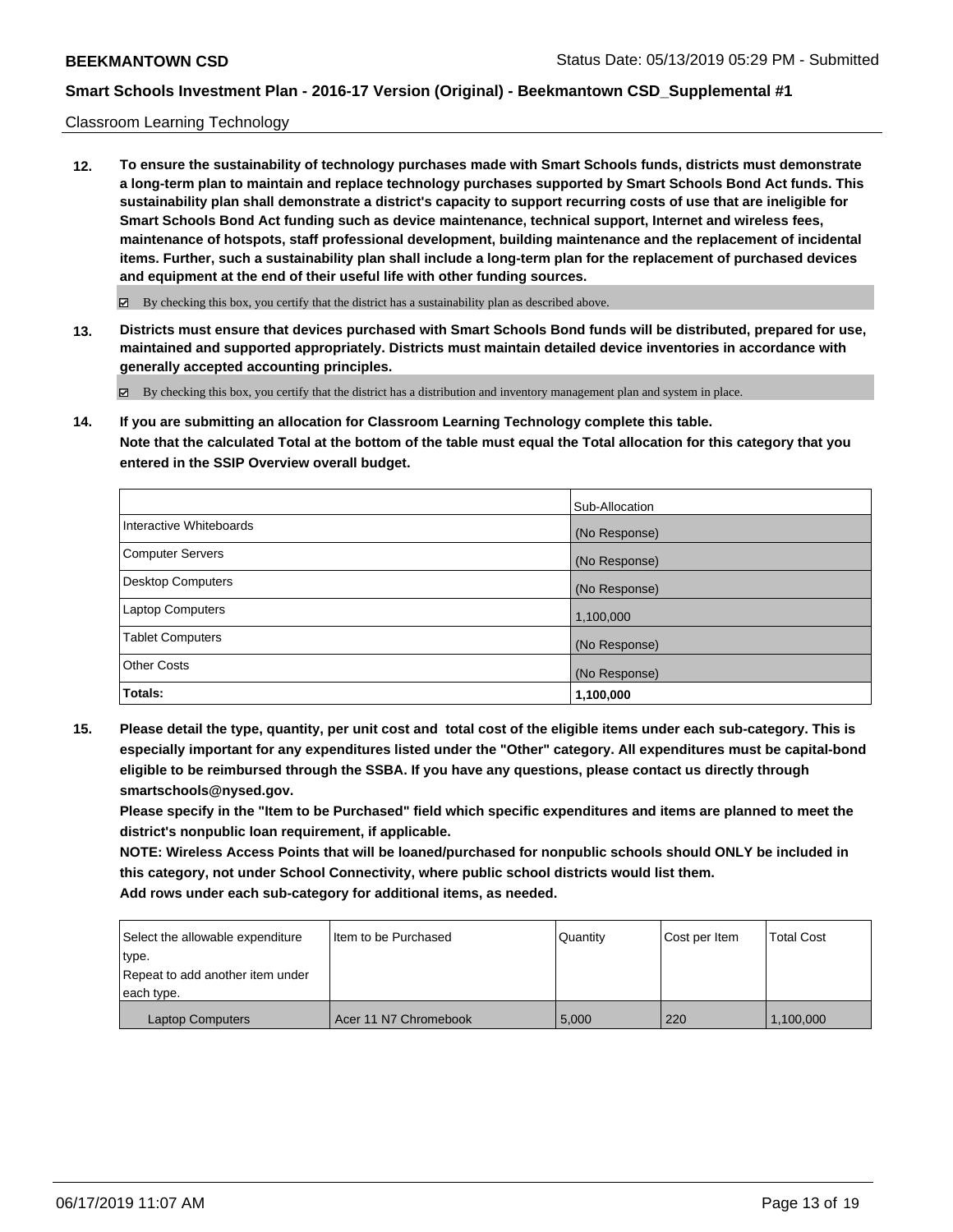#### Classroom Learning Technology

**12. To ensure the sustainability of technology purchases made with Smart Schools funds, districts must demonstrate a long-term plan to maintain and replace technology purchases supported by Smart Schools Bond Act funds. This sustainability plan shall demonstrate a district's capacity to support recurring costs of use that are ineligible for Smart Schools Bond Act funding such as device maintenance, technical support, Internet and wireless fees, maintenance of hotspots, staff professional development, building maintenance and the replacement of incidental items. Further, such a sustainability plan shall include a long-term plan for the replacement of purchased devices and equipment at the end of their useful life with other funding sources.**

By checking this box, you certify that the district has a sustainability plan as described above.

**13. Districts must ensure that devices purchased with Smart Schools Bond funds will be distributed, prepared for use, maintained and supported appropriately. Districts must maintain detailed device inventories in accordance with generally accepted accounting principles.**

By checking this box, you certify that the district has a distribution and inventory management plan and system in place.

**14. If you are submitting an allocation for Classroom Learning Technology complete this table. Note that the calculated Total at the bottom of the table must equal the Total allocation for this category that you entered in the SSIP Overview overall budget.**

|                         | Sub-Allocation |
|-------------------------|----------------|
| Interactive Whiteboards | (No Response)  |
| Computer Servers        | (No Response)  |
| Desktop Computers       | (No Response)  |
| Laptop Computers        | 1,100,000      |
| <b>Tablet Computers</b> | (No Response)  |
| <b>Other Costs</b>      | (No Response)  |
| Totals:                 | 1,100,000      |

**15. Please detail the type, quantity, per unit cost and total cost of the eligible items under each sub-category. This is especially important for any expenditures listed under the "Other" category. All expenditures must be capital-bond eligible to be reimbursed through the SSBA. If you have any questions, please contact us directly through smartschools@nysed.gov.**

**Please specify in the "Item to be Purchased" field which specific expenditures and items are planned to meet the district's nonpublic loan requirement, if applicable.**

**NOTE: Wireless Access Points that will be loaned/purchased for nonpublic schools should ONLY be included in this category, not under School Connectivity, where public school districts would list them. Add rows under each sub-category for additional items, as needed.**

| Select the allowable expenditure | I Item to be Purchased | Quantity | Cost per Item | <b>Total Cost</b> |
|----------------------------------|------------------------|----------|---------------|-------------------|
| type.                            |                        |          |               |                   |
| Repeat to add another item under |                        |          |               |                   |
| each type.                       |                        |          |               |                   |
| <b>Laptop Computers</b>          | Acer 11 N7 Chromebook  | 5.000    | 220           | 1,100,000         |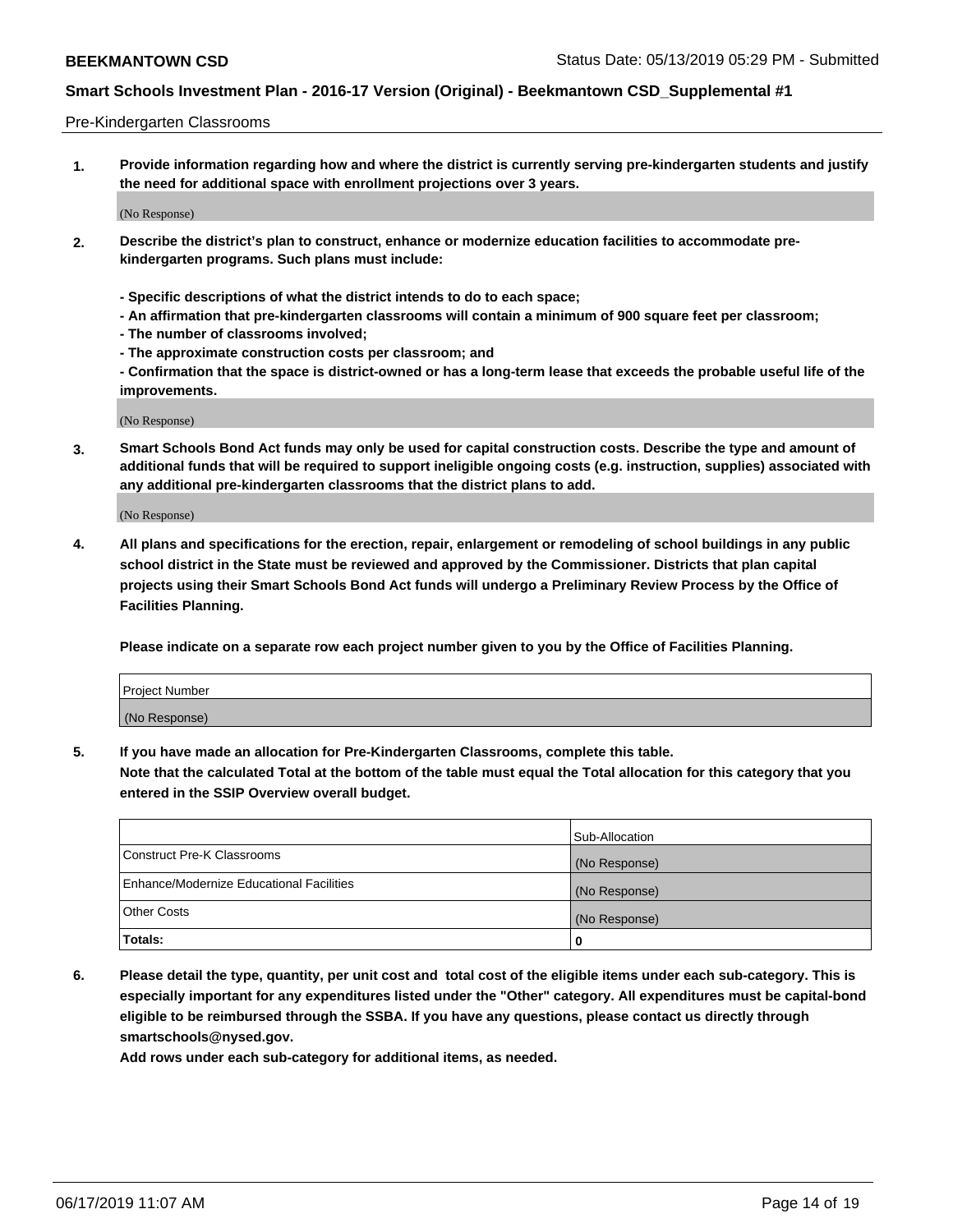#### Pre-Kindergarten Classrooms

**1. Provide information regarding how and where the district is currently serving pre-kindergarten students and justify the need for additional space with enrollment projections over 3 years.**

(No Response)

- **2. Describe the district's plan to construct, enhance or modernize education facilities to accommodate prekindergarten programs. Such plans must include:**
	- **Specific descriptions of what the district intends to do to each space;**
	- **An affirmation that pre-kindergarten classrooms will contain a minimum of 900 square feet per classroom;**
	- **The number of classrooms involved;**
	- **The approximate construction costs per classroom; and**
	- **Confirmation that the space is district-owned or has a long-term lease that exceeds the probable useful life of the improvements.**

(No Response)

**3. Smart Schools Bond Act funds may only be used for capital construction costs. Describe the type and amount of additional funds that will be required to support ineligible ongoing costs (e.g. instruction, supplies) associated with any additional pre-kindergarten classrooms that the district plans to add.**

(No Response)

**4. All plans and specifications for the erection, repair, enlargement or remodeling of school buildings in any public school district in the State must be reviewed and approved by the Commissioner. Districts that plan capital projects using their Smart Schools Bond Act funds will undergo a Preliminary Review Process by the Office of Facilities Planning.**

**Please indicate on a separate row each project number given to you by the Office of Facilities Planning.**

| Project Number |  |
|----------------|--|
| (No Response)  |  |
|                |  |

**5. If you have made an allocation for Pre-Kindergarten Classrooms, complete this table.**

**Note that the calculated Total at the bottom of the table must equal the Total allocation for this category that you entered in the SSIP Overview overall budget.**

|                                          | Sub-Allocation |
|------------------------------------------|----------------|
| Construct Pre-K Classrooms               | (No Response)  |
| Enhance/Modernize Educational Facilities | (No Response)  |
| <b>Other Costs</b>                       | (No Response)  |
| Totals:                                  | 0              |

**6. Please detail the type, quantity, per unit cost and total cost of the eligible items under each sub-category. This is especially important for any expenditures listed under the "Other" category. All expenditures must be capital-bond eligible to be reimbursed through the SSBA. If you have any questions, please contact us directly through smartschools@nysed.gov.**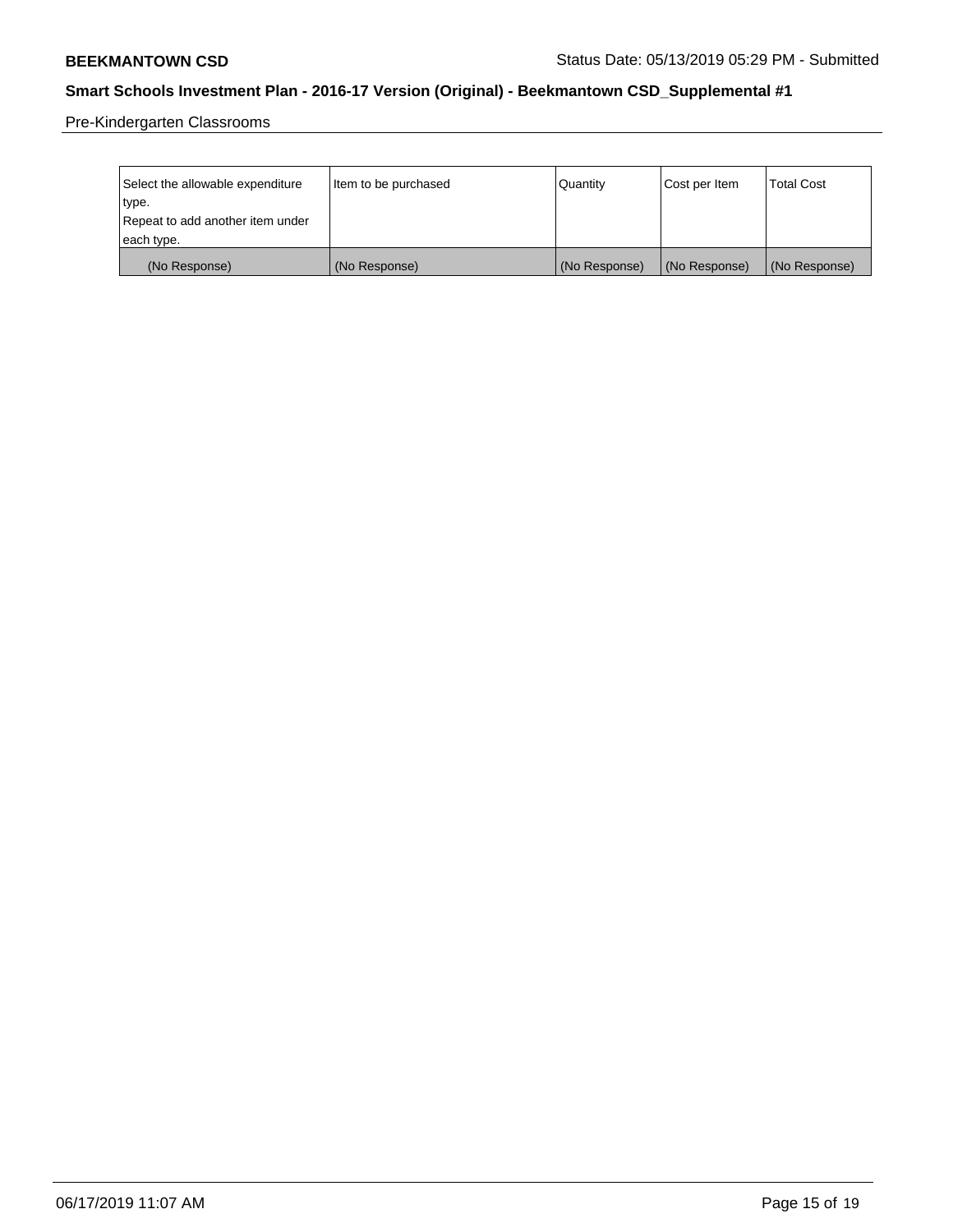Pre-Kindergarten Classrooms

| Select the allowable expenditure<br>type.      | lltem to be purchased | Quantity      | Cost per Item | <b>Total Cost</b> |
|------------------------------------------------|-----------------------|---------------|---------------|-------------------|
| Repeat to add another item under<br>each type. |                       |               |               |                   |
| (No Response)                                  | (No Response)         | (No Response) | (No Response) | (No Response)     |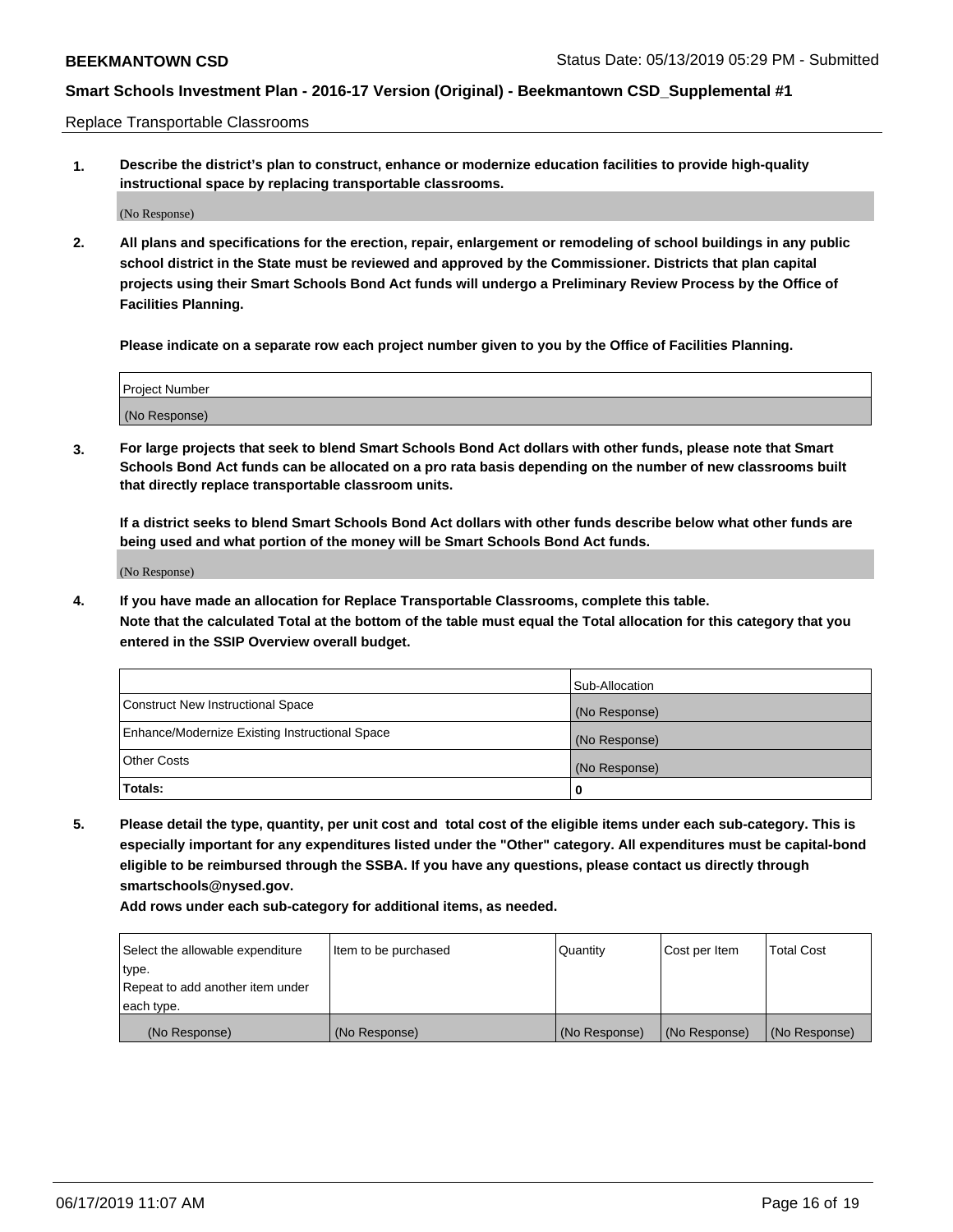Replace Transportable Classrooms

**1. Describe the district's plan to construct, enhance or modernize education facilities to provide high-quality instructional space by replacing transportable classrooms.**

(No Response)

**2. All plans and specifications for the erection, repair, enlargement or remodeling of school buildings in any public school district in the State must be reviewed and approved by the Commissioner. Districts that plan capital projects using their Smart Schools Bond Act funds will undergo a Preliminary Review Process by the Office of Facilities Planning.**

**Please indicate on a separate row each project number given to you by the Office of Facilities Planning.**

| Project Number |  |
|----------------|--|
|                |  |
| (No Response)  |  |

**3. For large projects that seek to blend Smart Schools Bond Act dollars with other funds, please note that Smart Schools Bond Act funds can be allocated on a pro rata basis depending on the number of new classrooms built that directly replace transportable classroom units.**

**If a district seeks to blend Smart Schools Bond Act dollars with other funds describe below what other funds are being used and what portion of the money will be Smart Schools Bond Act funds.**

(No Response)

**4. If you have made an allocation for Replace Transportable Classrooms, complete this table. Note that the calculated Total at the bottom of the table must equal the Total allocation for this category that you entered in the SSIP Overview overall budget.**

|                                                | Sub-Allocation |
|------------------------------------------------|----------------|
| Construct New Instructional Space              | (No Response)  |
| Enhance/Modernize Existing Instructional Space | (No Response)  |
| <b>Other Costs</b>                             | (No Response)  |
| Totals:                                        | 0              |

**5. Please detail the type, quantity, per unit cost and total cost of the eligible items under each sub-category. This is especially important for any expenditures listed under the "Other" category. All expenditures must be capital-bond eligible to be reimbursed through the SSBA. If you have any questions, please contact us directly through smartschools@nysed.gov.**

| Select the allowable expenditure | Item to be purchased | l Quantitv    | Cost per Item | <b>Total Cost</b> |
|----------------------------------|----------------------|---------------|---------------|-------------------|
| type.                            |                      |               |               |                   |
| Repeat to add another item under |                      |               |               |                   |
| each type.                       |                      |               |               |                   |
| (No Response)                    | (No Response)        | (No Response) | (No Response) | (No Response)     |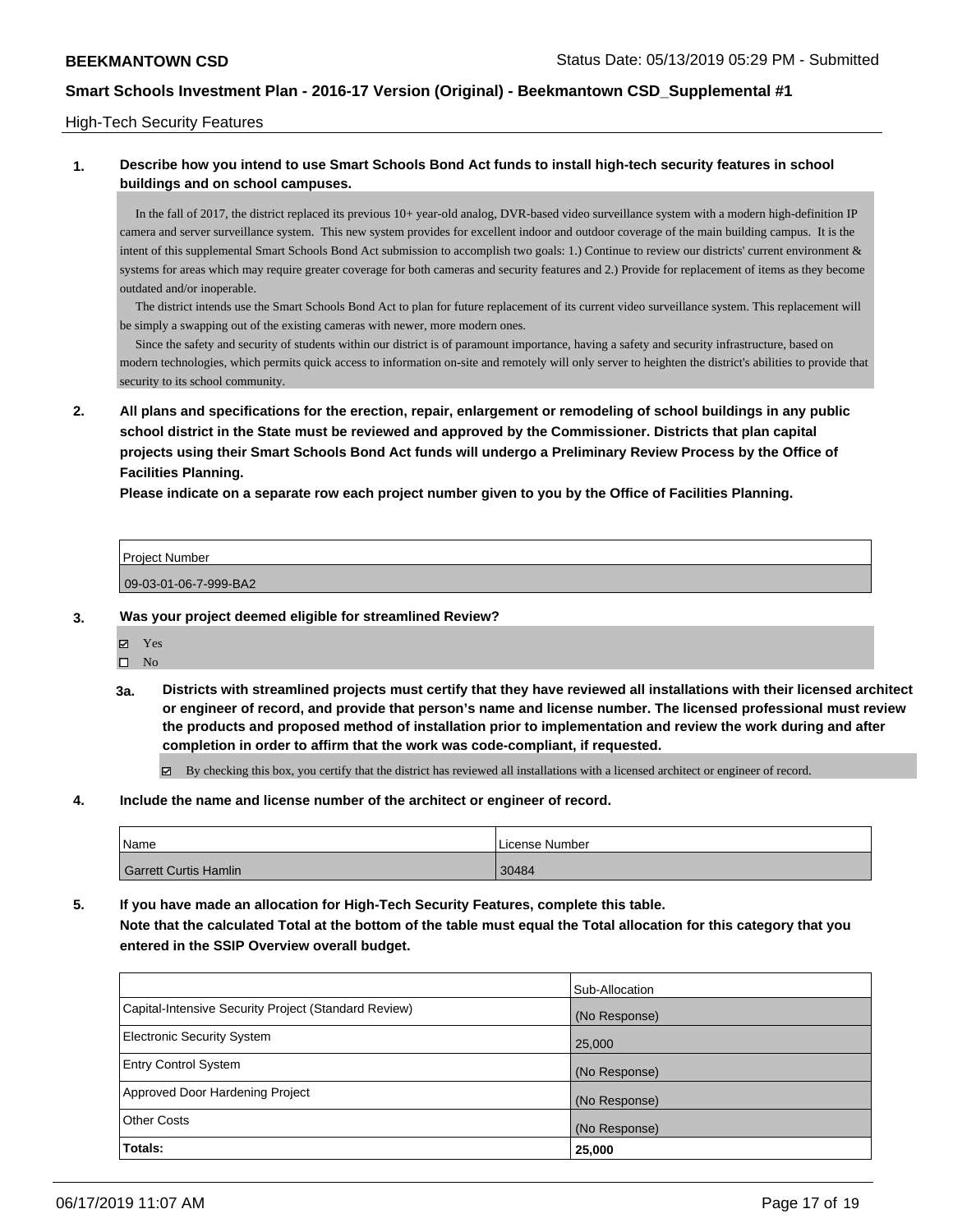#### High-Tech Security Features

## **1. Describe how you intend to use Smart Schools Bond Act funds to install high-tech security features in school buildings and on school campuses.**

 In the fall of 2017, the district replaced its previous 10+ year-old analog, DVR-based video surveillance system with a modern high-definition IP camera and server surveillance system. This new system provides for excellent indoor and outdoor coverage of the main building campus. It is the intent of this supplemental Smart Schools Bond Act submission to accomplish two goals: 1.) Continue to review our districts' current environment & systems for areas which may require greater coverage for both cameras and security features and 2.) Provide for replacement of items as they become outdated and/or inoperable.

 The district intends use the Smart Schools Bond Act to plan for future replacement of its current video surveillance system. This replacement will be simply a swapping out of the existing cameras with newer, more modern ones.

 Since the safety and security of students within our district is of paramount importance, having a safety and security infrastructure, based on modern technologies, which permits quick access to information on-site and remotely will only server to heighten the district's abilities to provide that security to its school community.

**2. All plans and specifications for the erection, repair, enlargement or remodeling of school buildings in any public school district in the State must be reviewed and approved by the Commissioner. Districts that plan capital projects using their Smart Schools Bond Act funds will undergo a Preliminary Review Process by the Office of Facilities Planning.** 

**Please indicate on a separate row each project number given to you by the Office of Facilities Planning.**

| <b>Project Number</b> |  |
|-----------------------|--|
|                       |  |
| 09-03-01-06-7-999-BA2 |  |

- **3. Was your project deemed eligible for streamlined Review?**
	- Yes
	- $\square$  No
	- **3a. Districts with streamlined projects must certify that they have reviewed all installations with their licensed architect or engineer of record, and provide that person's name and license number. The licensed professional must review the products and proposed method of installation prior to implementation and review the work during and after completion in order to affirm that the work was code-compliant, if requested.**

By checking this box, you certify that the district has reviewed all installations with a licensed architect or engineer of record.

**4. Include the name and license number of the architect or engineer of record.**

| Name                  | License Number |
|-----------------------|----------------|
| Garrett Curtis Hamlin | 30484          |

**5. If you have made an allocation for High-Tech Security Features, complete this table. Note that the calculated Total at the bottom of the table must equal the Total allocation for this category that you entered in the SSIP Overview overall budget.**

|                                                      | Sub-Allocation |
|------------------------------------------------------|----------------|
| Capital-Intensive Security Project (Standard Review) | (No Response)  |
| <b>Electronic Security System</b>                    | 25,000         |
| <b>Entry Control System</b>                          | (No Response)  |
| Approved Door Hardening Project                      | (No Response)  |
| <b>Other Costs</b>                                   | (No Response)  |
| Totals:                                              | 25,000         |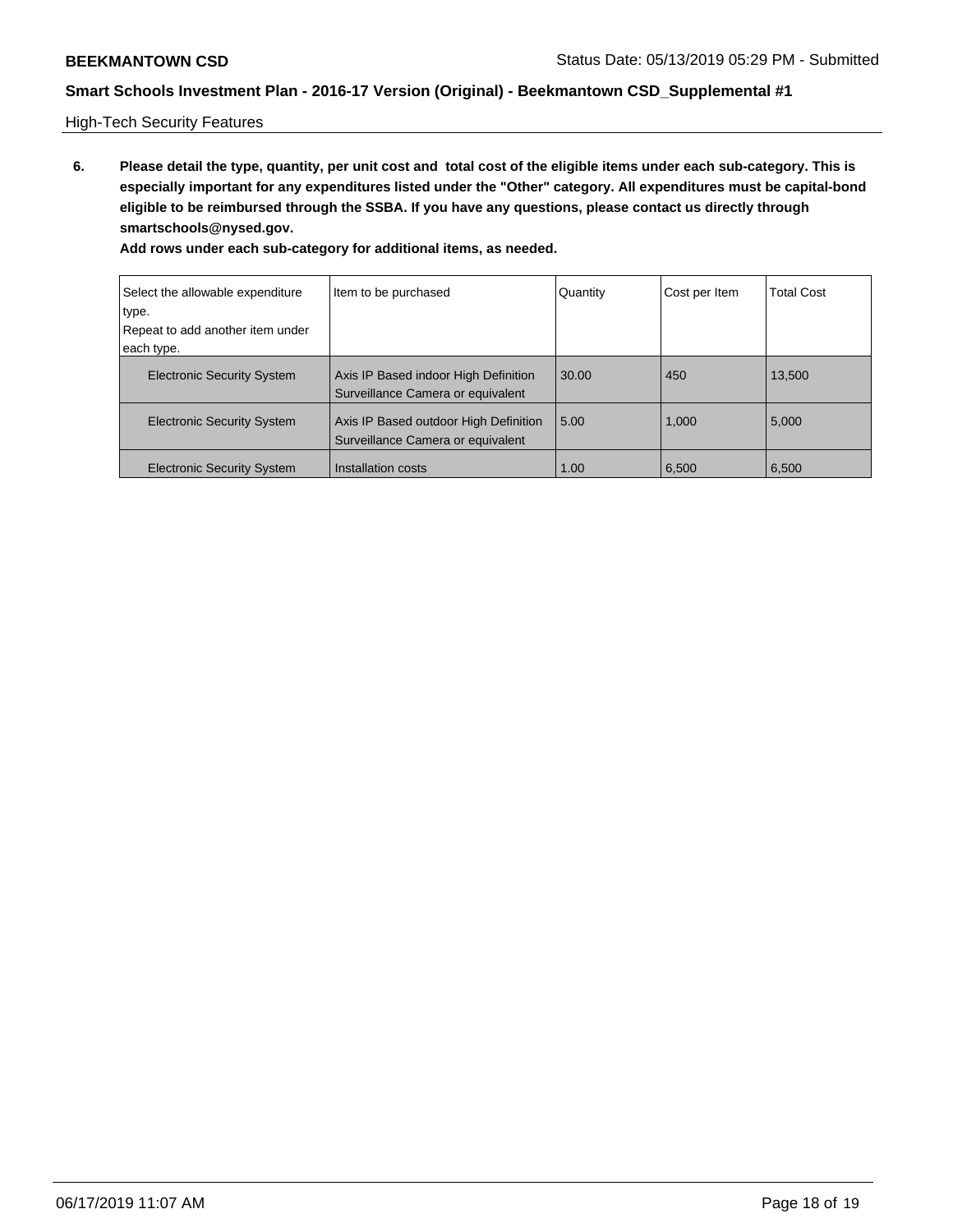High-Tech Security Features

**6. Please detail the type, quantity, per unit cost and total cost of the eligible items under each sub-category. This is especially important for any expenditures listed under the "Other" category. All expenditures must be capital-bond eligible to be reimbursed through the SSBA. If you have any questions, please contact us directly through smartschools@nysed.gov.**

| Select the allowable expenditure<br>type. | Item to be purchased                                                       | Quantity | Cost per Item | <b>Total Cost</b> |
|-------------------------------------------|----------------------------------------------------------------------------|----------|---------------|-------------------|
|                                           |                                                                            |          |               |                   |
| Repeat to add another item under          |                                                                            |          |               |                   |
| each type.                                |                                                                            |          |               |                   |
| <b>Electronic Security System</b>         | Axis IP Based indoor High Definition<br>Surveillance Camera or equivalent  | 30.00    | 450           | 13,500            |
| <b>Electronic Security System</b>         | Axis IP Based outdoor High Definition<br>Surveillance Camera or equivalent | 5.00     | 1,000         | 5,000             |
| <b>Electronic Security System</b>         | Installation costs                                                         | 1.00     | 6,500         | 6,500             |